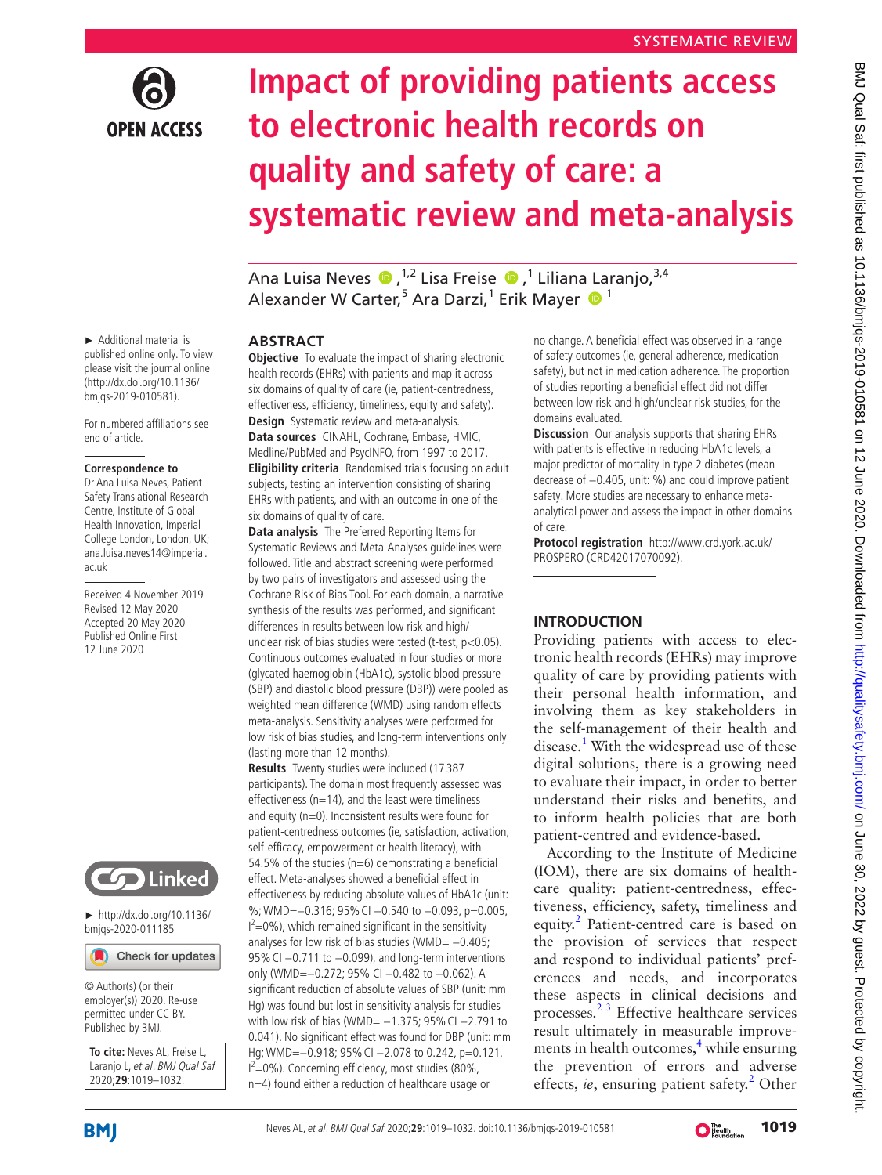

# **Impact of providing patients access to electronic health records on quality and safety of care: a systematic review and meta-analysis**

AnaLuisa Neves (D, <sup>1,2</sup> Lisa Freise (D, <sup>1</sup> Liliana Laranjo, <sup>3,4</sup> Alexander W Carter,<sup>5</sup> Ara Darzi,<sup>1</sup> Erik Mayer  $\bullet$ <sup>1</sup>

### ► Additional material is published online only. To view please visit the journal online (http://dx.doi.org/10.1136/ bmjqs-2019-010581).

For numbered affiliations see end of article.

### **Correspondence to**

Dr Ana Luisa Neves, Patient Safety Translational Research Centre, Institute of Global Health Innovation, Imperial College London, London, UK; ana.luisa.neves14@imperial. ac.uk

Received 4 November 2019 Revised 12 May 2020 Accepted 20 May 2020 Published Online First 12 June 2020



► [http://dx.doi.org/10.1136/](http://dx.doi.org/10.1136/bmjqs-2020-011185) [bmjqs-2020-011185](http://dx.doi.org/10.1136/bmjqs-2020-011185)

Check for updates

© Author(s) (or their employer(s)) 2020. Re-use permitted under CC BY. Published by BMJ.

**To cite:** Neves AL, Freise L, Laranjo L, et al. BMJ Qual Saf 2020;**29**:1019–1032.

### **Abstract**

**Objective** To evaluate the impact of sharing electronic health records (EHRs) with patients and map it across six domains of quality of care (ie, patient-centredness, effectiveness, efficiency, timeliness, equity and safety). **Design** Systematic review and meta-analysis. **Data sources** CINAHL, Cochrane, Embase, HMIC, Medline/PubMed and PsycINFO, from 1997 to 2017. **Eligibility criteria** Randomised trials focusing on adult subjects, testing an intervention consisting of sharing EHRs with patients, and with an outcome in one of the six domains of quality of care.

**Data analysis** The Preferred Reporting Items for Systematic Reviews and Meta-Analyses guidelines were followed. Title and abstract screening were performed by two pairs of investigators and assessed using the Cochrane Risk of Bias Tool. For each domain, a narrative synthesis of the results was performed, and significant differences in results between low risk and high/ unclear risk of bias studies were tested (t-test, p<0.05). Continuous outcomes evaluated in four studies or more (glycated haemoglobin (HbA1c), systolic blood pressure (SBP) and diastolic blood pressure (DBP)) were pooled as weighted mean difference (WMD) using random effects meta-analysis. Sensitivity analyses were performed for low risk of bias studies, and long-term interventions only (lasting more than 12 months).

**Results** Twenty studies were included (17 387 participants). The domain most frequently assessed was effectiveness ( $n=14$ ), and the least were timeliness and equity (n=0). Inconsistent results were found for patient-centredness outcomes (ie, satisfaction, activation, self-efficacy, empowerment or health literacy), with 54.5% of the studies ( $n=6$ ) demonstrating a beneficial effect. Meta-analyses showed a beneficial effect in effectiveness by reducing absolute values of HbA1c (unit: %; WMD=-0.316; 95% CI -0.540 to -0.093, p=0.005,  $I^2$ =0%), which remained significant in the sensitivity analyses for low risk of bias studies (WMD= −0.405; 95% CI -0.711 to -0.099), and long-term interventions only (WMD=−0.272; 95% CI −0.482 to −0.062). A significant reduction of absolute values of SBP (unit: mm Hg) was found but lost in sensitivity analysis for studies with low risk of bias (WMD= -1.375; 95% CI -2.791 to 0.041). No significant effect was found for DBP (unit: mm Hg; WMD=–0.918; 95% CI –2.078 to 0.242, p=0.121,  $I^2$ =0%). Concerning efficiency, most studies (80%, n=4) found either a reduction of healthcare usage or

no change. A beneficial effect was observed in a range of safety outcomes (ie, general adherence, medication safety), but not in medication adherence. The proportion of studies reporting a beneficial effect did not differ between low risk and high/unclear risk studies, for the domains evaluated.

**Discussion** Our analysis supports that sharing EHRs with patients is effective in reducing HbA1c levels, a major predictor of mortality in type 2 diabetes (mean decrease of −0.405, unit: %) and could improve patient safety. More studies are necessary to enhance metaanalytical power and assess the impact in other domains of care.

**Protocol registration** [http://www.crd.york.ac.uk/](http://www.crd.york.ac.uk/PROSPERO) [PROSPERO](http://www.crd.york.ac.uk/PROSPERO) (CRD42017070092).

### **Introduction**

Providing patients with access to electronic health records (EHRs) may improve quality of care by providing patients with their personal health information, and involving them as key stakeholders in the self-management of their health and disease.<sup>1</sup> With the widespread use of these digital solutions, there is a growing need to evaluate their impact, in order to better understand their risks and benefits, and to inform health policies that are both patient-centred and evidence-based.

According to the Institute of Medicine (IOM), there are six domains of healthcare quality: patient-centredness, effectiveness, efficiency, safety, timeliness and equity.<sup>[2](#page-12-1)</sup> Patient-centred care is based on the provision of services that respect and respond to individual patients' preferences and needs, and incorporates these aspects in clinical decisions and processes.[2 3](#page-12-1) Effective healthcare services result ultimately in measurable improve-ments in health outcomes,<sup>[4](#page-12-2)</sup> while ensuring the prevention of errors and adverse effects, ie, ensuring patient safety.<sup>[2](#page-12-1)</sup> Other

**BMJ** 

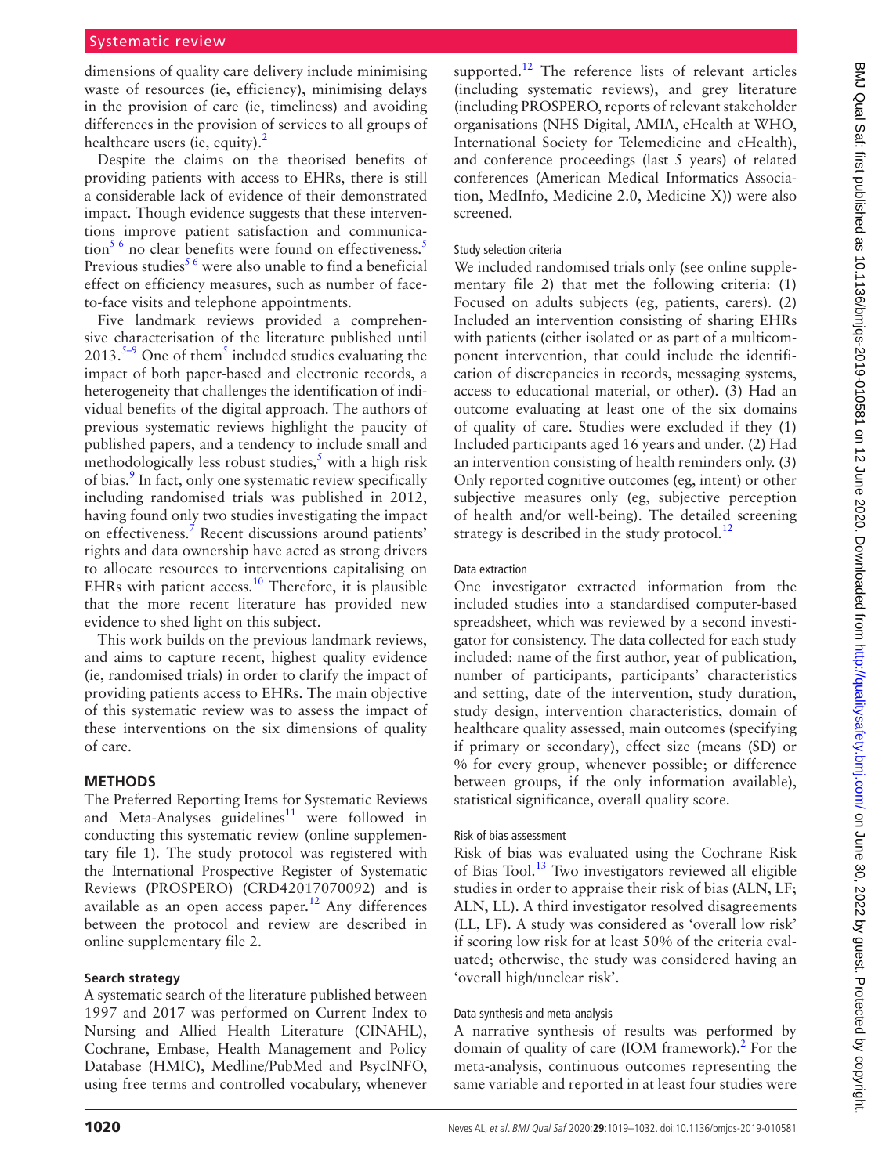dimensions of quality care delivery include minimising waste of resources (ie, efficiency), minimising delays in the provision of care (ie, timeliness) and avoiding differences in the provision of services to all groups of healthcare users (ie, equity).<sup>2</sup>

Despite the claims on the theorised benefits of providing patients with access to EHRs, there is still a considerable lack of evidence of their demonstrated impact. Though evidence suggests that these interventions improve patient satisfaction and communica- $\frac{1}{100}$  for  $\frac{1}{100}$  clear benefits were found on effectiveness.<sup>[5](#page-12-3)</sup> Previous studies<sup>56</sup> were also unable to find a beneficial effect on efficiency measures, such as number of faceto-face visits and telephone appointments.

Five landmark reviews provided a comprehensive characterisation of the literature published until  $2013.^{5-9}$  One of them<sup>5</sup> included studies evaluating the impact of both paper-based and electronic records, a heterogeneity that challenges the identification of individual benefits of the digital approach. The authors of previous systematic reviews highlight the paucity of published papers, and a tendency to include small and methodologically less robust studies, $\frac{s}{s}$  with a high risk of bias.<sup>9</sup> In fact, only one systematic review specifically including randomised trials was published in 2012, having found only two studies investigating the impact on effectiveness.<sup>[7](#page-12-5)</sup> Recent discussions around patients' rights and data ownership have acted as strong drivers to allocate resources to interventions capitalising on EHRs with patient access.<sup>[10](#page-12-6)</sup> Therefore, it is plausible that the more recent literature has provided new evidence to shed light on this subject.

This work builds on the previous landmark reviews, and aims to capture recent, highest quality evidence (ie, randomised trials) in order to clarify the impact of providing patients access to EHRs. The main objective of this systematic review was to assess the impact of these interventions on the six dimensions of quality of care.

### **Methods**

The Preferred Reporting Items for Systematic Reviews and Meta-Analyses guidelines<sup>11</sup> were followed in conducting this systematic review ([online supplemen](https://dx.doi.org/10.1136/bmjqs-2019-010581)[tary file 1\)](https://dx.doi.org/10.1136/bmjqs-2019-010581). The study protocol was registered with the International Prospective Register of Systematic Reviews (PROSPERO) (CRD42017070092) and is available as an open access paper.<sup>[12](#page-12-8)</sup> Any differences between the protocol and review are described in [online supplementary file 2](https://dx.doi.org/10.1136/bmjqs-2019-010581).

### **Search strategy**

A systematic search of the literature published between 1997 and 2017 was performed on Current Index to Nursing and Allied Health Literature (CINAHL), Cochrane, Embase, Health Management and Policy Database (HMIC), Medline/PubMed and PsycINFO, using free terms and controlled vocabulary, whenever

supported.<sup>[12](#page-12-8)</sup> The reference lists of relevant articles (including systematic reviews), and grey literature (including PROSPERO, reports of relevant stakeholder organisations (NHS Digital, AMIA, eHealth at WHO, International Society for Telemedicine and eHealth), and conference proceedings (last 5 years) of related conferences (American Medical Informatics Association, MedInfo, Medicine 2.0, Medicine X)) were also screened.

### Study selection criteria

We included randomised trials only (see [online supple](https://dx.doi.org/10.1136/bmjqs-2019-010581)[mentary file 2](https://dx.doi.org/10.1136/bmjqs-2019-010581)) that met the following criteria: (1) Focused on adults subjects (eg, patients, carers). (2) Included an intervention consisting of sharing EHRs with patients (either isolated or as part of a multicomponent intervention, that could include the identification of discrepancies in records, messaging systems, access to educational material, or other). (3) Had an outcome evaluating at least one of the six domains of quality of care. Studies were excluded if they (1) Included participants aged 16 years and under. (2) Had an intervention consisting of health reminders only. (3) Only reported cognitive outcomes (eg, intent) or other subjective measures only (eg, subjective perception of health and/or well-being). The detailed screening strategy is described in the study protocol. $^{12}$  $^{12}$  $^{12}$ 

### Data extraction

One investigator extracted information from the included studies into a standardised computer-based spreadsheet, which was reviewed by a second investigator for consistency. The data collected for each study included: name of the first author, year of publication, number of participants, participants' characteristics and setting, date of the intervention, study duration, study design, intervention characteristics, domain of healthcare quality assessed, main outcomes (specifying if primary or secondary), effect size (means (SD) or % for every group, whenever possible; or difference between groups, if the only information available), statistical significance, overall quality score.

### Risk of bias assessment

Risk of bias was evaluated using the Cochrane Risk of Bias Tool.[13](#page-12-9) Two investigators reviewed all eligible studies in order to appraise their risk of bias (ALN, LF; ALN, LL). A third investigator resolved disagreements (LL, LF). A study was considered as 'overall low risk' if scoring low risk for at least 50% of the criteria evaluated; otherwise, the study was considered having an 'overall high/unclear risk'.

### Data synthesis and meta-analysis

A narrative synthesis of results was performed by domain of quality of care (IOM framework).<sup>[2](#page-12-1)</sup> For the meta-analysis, continuous outcomes representing the same variable and reported in at least four studies were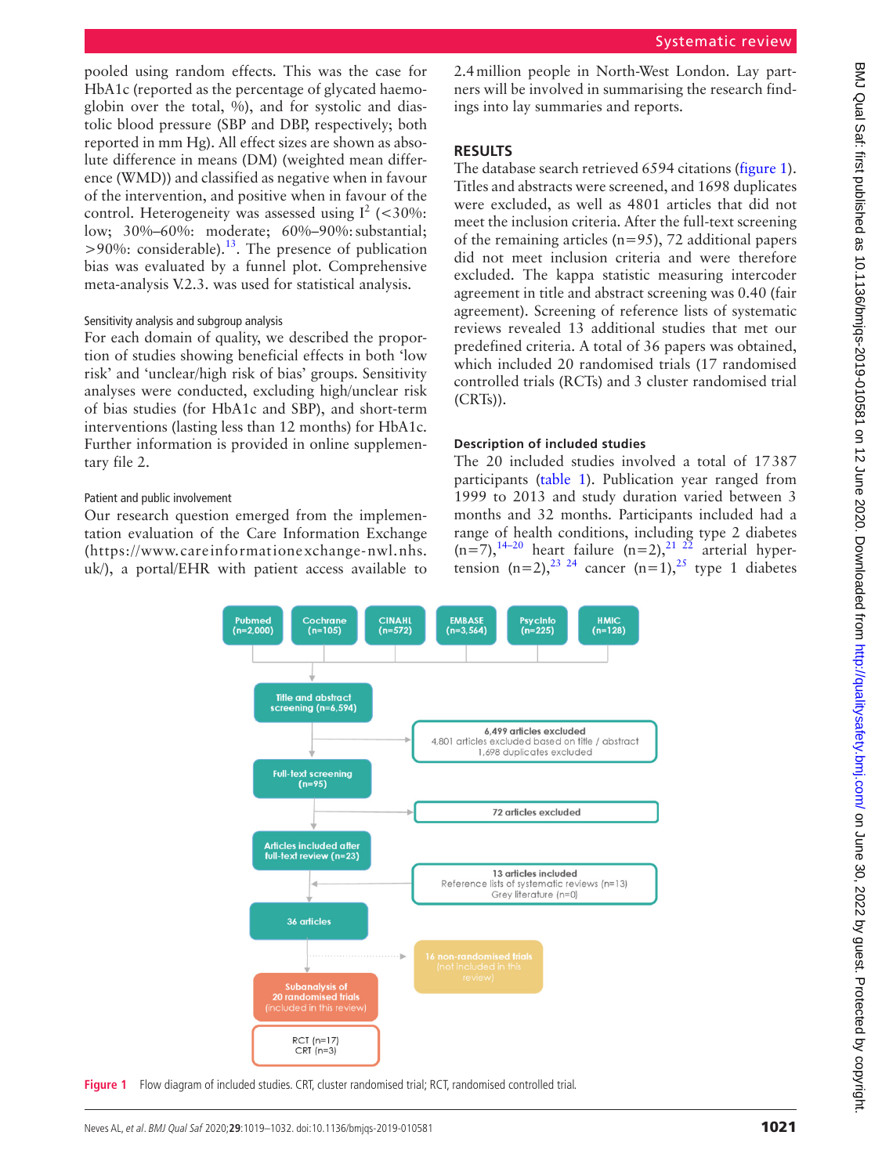pooled using random effects. This was the case for HbA1c (reported as the percentage of glycated haemoglobin over the total, %), and for systolic and diastolic blood pressure (SBP and DBP, respectively; both reported in mm Hg). All effect sizes are shown as absolute difference in means (DM) (weighted mean difference (WMD)) and classified as negative when in favour of the intervention, and positive when in favour of the control. Heterogeneity was assessed using  $I^2$  (<30%: low; 30%–60%: moderate; 60%–90%: substantial;  $>90\%$ : considerable).<sup>13</sup>. The presence of publication bias was evaluated by a funnel plot. Comprehensive meta-analysis V.2.3. was used for statistical analysis.

### Sensitivity analysis and subgroup analysis

For each domain of quality, we described the proportion of studies showing beneficial effects in both 'low risk' and 'unclear/high risk of bias' groups. Sensitivity analyses were conducted, excluding high/unclear risk of bias studies (for HbA1c and SBP), and short-term interventions (lasting less than 12 months) for HbA1c. Further information is provided in [online supplemen](https://dx.doi.org/10.1136/bmjqs-2019-010581)[tary file 2](https://dx.doi.org/10.1136/bmjqs-2019-010581).

### Patient and public involvement

Our research question emerged from the implementation evaluation of the Care Information Exchange ([https://www.careinformationexchange-nwl.nhs.](https://www.careinformationexchange-nwl.nhs.uk/) [uk/\)](https://www.careinformationexchange-nwl.nhs.uk/), a portal/EHR with patient access available to 2.4million people in North-West London. Lay partners will be involved in summarising the research findings into lay summaries and reports.

## **Results**

The database search retrieved 6594 citations [\(figure](#page-2-0) 1). Titles and abstracts were screened, and 1698 duplicates were excluded, as well as 4801 articles that did not meet the inclusion criteria. After the full-text screening of the remaining articles (n=95), 72 additional papers did not meet inclusion criteria and were therefore excluded. The kappa statistic measuring intercoder agreement in title and abstract screening was 0.40 (fair agreement). Screening of reference lists of systematic reviews revealed 13 additional studies that met our predefined criteria. A total of 36 papers was obtained, which included 20 randomised trials (17 randomised controlled trials (RCTs) and 3 cluster randomised trial (CRTs)).

### **Description of included studies**

The 20 included studies involved a total of 17387 participants [\(table](#page-3-0) 1). Publication year ranged from 1999 to 2013 and study duration varied between 3 months and 32 months. Participants included had a range of health conditions, including type 2 diabetes  $(n=7)$ ,<sup>14–20</sup> heart failure  $(n=2)$ ,<sup>21–22</sup> arterial hypertension  $(n=2)$ ,  $23 \times 24$  cancer  $(n=1)$ ,  $25 \times 12$  $25 \times 12$  type 1 diabetes



<span id="page-2-0"></span>**Figure 1** Flow diagram of included studies. CRT, cluster randomised trial; RCT, randomised controlled trial.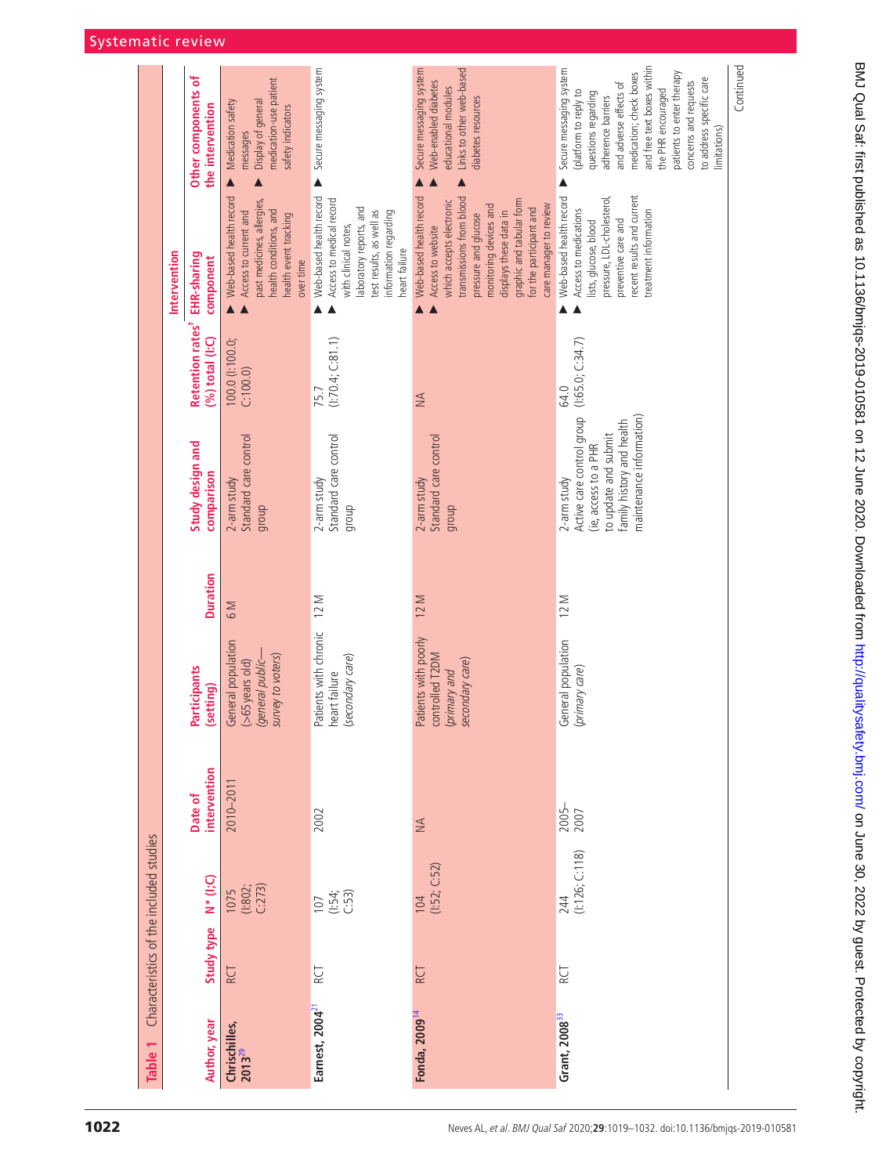<span id="page-3-0"></span>

| Table 1                             |            | Characteristics of the included studies                |                         |                                                                                  |                  |                                                                                                                                                   |                                                               |                                                                                                                                                                                                                                                                   |                                                                                                                                                                                                                                                                                                          |
|-------------------------------------|------------|--------------------------------------------------------|-------------------------|----------------------------------------------------------------------------------|------------------|---------------------------------------------------------------------------------------------------------------------------------------------------|---------------------------------------------------------------|-------------------------------------------------------------------------------------------------------------------------------------------------------------------------------------------------------------------------------------------------------------------|----------------------------------------------------------------------------------------------------------------------------------------------------------------------------------------------------------------------------------------------------------------------------------------------------------|
|                                     |            |                                                        |                         |                                                                                  |                  |                                                                                                                                                   |                                                               | Intervention                                                                                                                                                                                                                                                      |                                                                                                                                                                                                                                                                                                          |
| Author, year                        | Study type | $N^*(l;C)$                                             | Date of<br>intervention | Participants<br>(setting)                                                        | <b>Duration</b>  | Study design and<br>comparison                                                                                                                    | Retention rates <sup>+</sup> EHR-sharing<br>$(%)$ total (I:C) | component                                                                                                                                                                                                                                                         | Other components of<br>the intervention                                                                                                                                                                                                                                                                  |
| Chrischilles,<br>2013 <sup>29</sup> | <b>RCT</b> | $\begin{array}{c} 1075 \\ (1802) \\ C:273 \end{array}$ | 2010-2011               | General population<br>survey to voters)<br>$(>65$ years old)<br>(general public- | $\overline{6}$ M | Standard care control<br>$2$ -arm study<br>group                                                                                                  | 100.0 (1:100.0;<br>C: 100.0                                   | Web-based health record<br>past medicines, allergies,<br>health conditions, and<br>Access to current and<br>health event tracking<br>over time                                                                                                                    | medication-use patient<br>Display of general<br>Medication safety<br>safety indicators<br>messages                                                                                                                                                                                                       |
| Earnest, 2004 <sup>21</sup>         | RCT        | $107$<br>$(.54;$<br>$(.53)$                            | 2002                    | Patients with chronic<br>(secondary care)<br>heart failure                       | 12 M             | Standard care control<br>2-arm study<br>qroup                                                                                                     | (1:70.4; C:81.1)<br>75.7                                      | Web-based health record<br>Access to medical record<br>laboratory reports, and<br>test results, as well as<br>information regarding<br>with clinical notes,<br>heart failure                                                                                      | Secure messaging system                                                                                                                                                                                                                                                                                  |
| Fonda, 2009 <sup>14</sup>           | RCT        | (1:52; C:52)<br>104                                    | $\leq$                  | Patients with poorly<br>controlled T2DM<br>secondary care)<br>primary and        | 12 M             | Standard care control<br>$2$ -arm study<br>group                                                                                                  | $\leq$                                                        | Web-based health record<br>transmissions from blood<br>graphic and tabular form<br>which accepts electronic<br>care manager to review<br>monitoring devices and<br>for the participant and<br>displays these data in<br>pressure and glucose<br>Access to website | Links to other web-based<br>Secure messaging system<br>Web-enabled diabetes<br>educational modules<br>diabetes resources                                                                                                                                                                                 |
| Grant, 2008 <sup>33</sup>           | RCT        | (1:126; C:118)<br>244                                  | 2005-                   | General population<br>(primary care)                                             | 12 M             | Active care control group<br>maintenance information)<br>family history and health<br>to update and submit<br>(ie, access to a PHR<br>2-arm study | (1:65.0; C:34.7)<br>64.0                                      | recent results and current<br>Web-based health record<br>pressure, LDL-cholesterol,<br>Access to medications<br>treatment information<br>preventive care and<br>lists, glucose, blood                                                                             | and free text boxes within<br>Secure messaging system<br>medication; check boxes<br>patients to enter therapy<br>to address specific care<br>concerns and requests<br>and adverse effects of<br>the PHR encouraged<br>(platform to reply to<br>questions regarding<br>adherence barriers<br>limitations) |
|                                     |            |                                                        |                         |                                                                                  |                  |                                                                                                                                                   |                                                               |                                                                                                                                                                                                                                                                   | Continued                                                                                                                                                                                                                                                                                                |

### Systematic review L,

 $\overline{a}$ 

 $\overline{a}$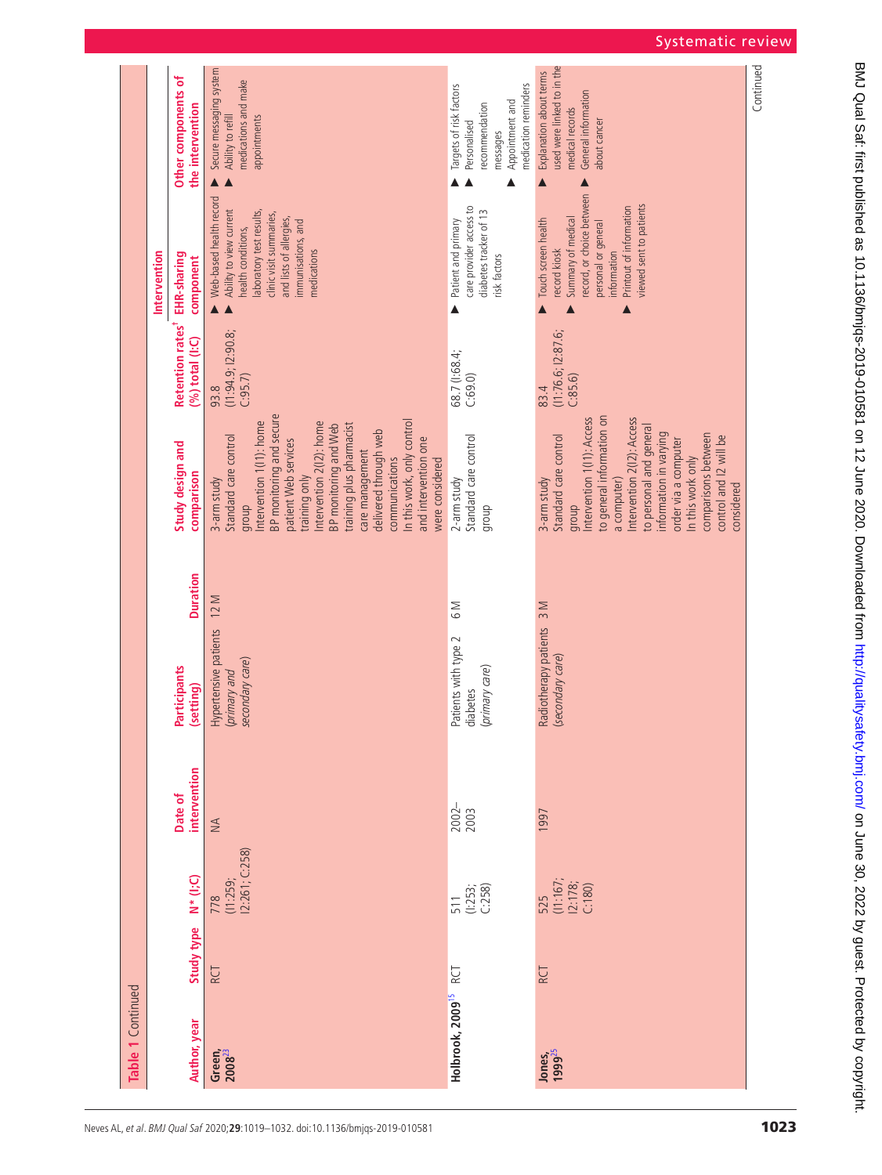|                   |                                                                 |                                                                                                                                                                                                 |                                                                                                                  |                                                                                                                                                                                                    | Continued |
|-------------------|-----------------------------------------------------------------|-------------------------------------------------------------------------------------------------------------------------------------------------------------------------------------------------|------------------------------------------------------------------------------------------------------------------|----------------------------------------------------------------------------------------------------------------------------------------------------------------------------------------------------|-----------|
|                   | Other components of<br>the intervention                         | Secure messaging system<br>medications and make<br>Ability to refill<br>appointments                                                                                                            | medication reminders<br>Targets of risk factors<br>Appointment and<br>recommendation<br>Personalised<br>messages | used were linked to in the<br>Explanation about terms<br>General information<br>medical records<br>about cancer                                                                                    |           |
|                   |                                                                 |                                                                                                                                                                                                 | Δ                                                                                                                | $\blacktriangle$                                                                                                                                                                                   |           |
|                   | Intervention<br>component                                       | Web-based health record<br>Ability to view current<br>laboratory test results,<br>clinic visit summaries,<br>and lists of allergies,<br>immunisations, and<br>health conditions,<br>medications | care provider access to<br>diabetes tracker of 13<br>Patient and primary<br>risk factors                         | record, or choice between<br>viewed sent to patients<br>Printout of information<br>Summary of medical<br>Touch screen health<br>personal or general<br>record kiosk<br>information                 |           |
|                   |                                                                 |                                                                                                                                                                                                 | ▲                                                                                                                |                                                                                                                                                                                                    |           |
|                   | Retention rates <sup>+</sup> EHR-sharing<br>$(%)$ total $(1:C)$ | (11:94.9; 12:90.8)<br>C:95.7<br>93.8                                                                                                                                                            | 68.7 (1:68.4;<br>C:69.0                                                                                          | (11:76.6; 12:87.6;<br>C:85.6<br>83.4                                                                                                                                                               |           |
|                   |                                                                 | BP monitoring and secure<br>In this work, only control<br>Intervention 1(11): home<br>Intervention 2(I2): home<br>training plus pharmacist<br>BP monitoring and Web                             |                                                                                                                  | to general information on<br>Intervention 2(I2): Access<br>Intervention 1(11): Access<br>to personal and general                                                                                   |           |
|                   | Study design and<br>comparison                                  | delivered through web<br>Standard care control<br>and intervention one<br>patient Web services<br>care management<br>communications<br>were considered<br>training only<br>3-arm study<br>group | Standard care control<br>2-arm study<br>dionb                                                                    | information in varying<br>comparisons between<br>Standard care control<br>control and I2 will be<br>order via a computer<br>In this work only<br>3-arm study<br>a computer)<br>considered<br>group |           |
|                   |                                                                 |                                                                                                                                                                                                 |                                                                                                                  |                                                                                                                                                                                                    |           |
|                   | <b>Duration</b>                                                 | 12 M                                                                                                                                                                                            | $\overline{6}$ M                                                                                                 | 3 M                                                                                                                                                                                                |           |
|                   |                                                                 |                                                                                                                                                                                                 |                                                                                                                  |                                                                                                                                                                                                    |           |
|                   | Participants<br>(setting)                                       | Hypertensive patients<br>secondary care)<br>(primary and                                                                                                                                        | Patients with type 2<br>(primary care)<br>diabetes                                                               | Radiotherapy patients<br>(secondary care)                                                                                                                                                          |           |
|                   |                                                                 |                                                                                                                                                                                                 |                                                                                                                  |                                                                                                                                                                                                    |           |
|                   | intervention<br>Date of                                         | $\leq$                                                                                                                                                                                          | 2002-<br>2003                                                                                                    | 1997                                                                                                                                                                                               |           |
|                   |                                                                 |                                                                                                                                                                                                 |                                                                                                                  |                                                                                                                                                                                                    |           |
|                   | $N^*(I;C)$                                                      | I2:261; C:258)<br>(11:259;<br>778                                                                                                                                                               | (1:253; C:258)<br>511                                                                                            | (11:167; 12:178;<br>C:180)<br>525                                                                                                                                                                  |           |
|                   | Study type                                                      |                                                                                                                                                                                                 |                                                                                                                  |                                                                                                                                                                                                    |           |
|                   |                                                                 | <b>RCT</b>                                                                                                                                                                                      | RCT                                                                                                              | RCT                                                                                                                                                                                                |           |
| Table 1 Continued | Author, year                                                    |                                                                                                                                                                                                 | Holbrook, 2009 <sup>15</sup>                                                                                     |                                                                                                                                                                                                    |           |
|                   |                                                                 | Green,<br>$2008^{23}$                                                                                                                                                                           |                                                                                                                  | Jones,<br>1999 <sup>25</sup>                                                                                                                                                                       |           |

# Systematic review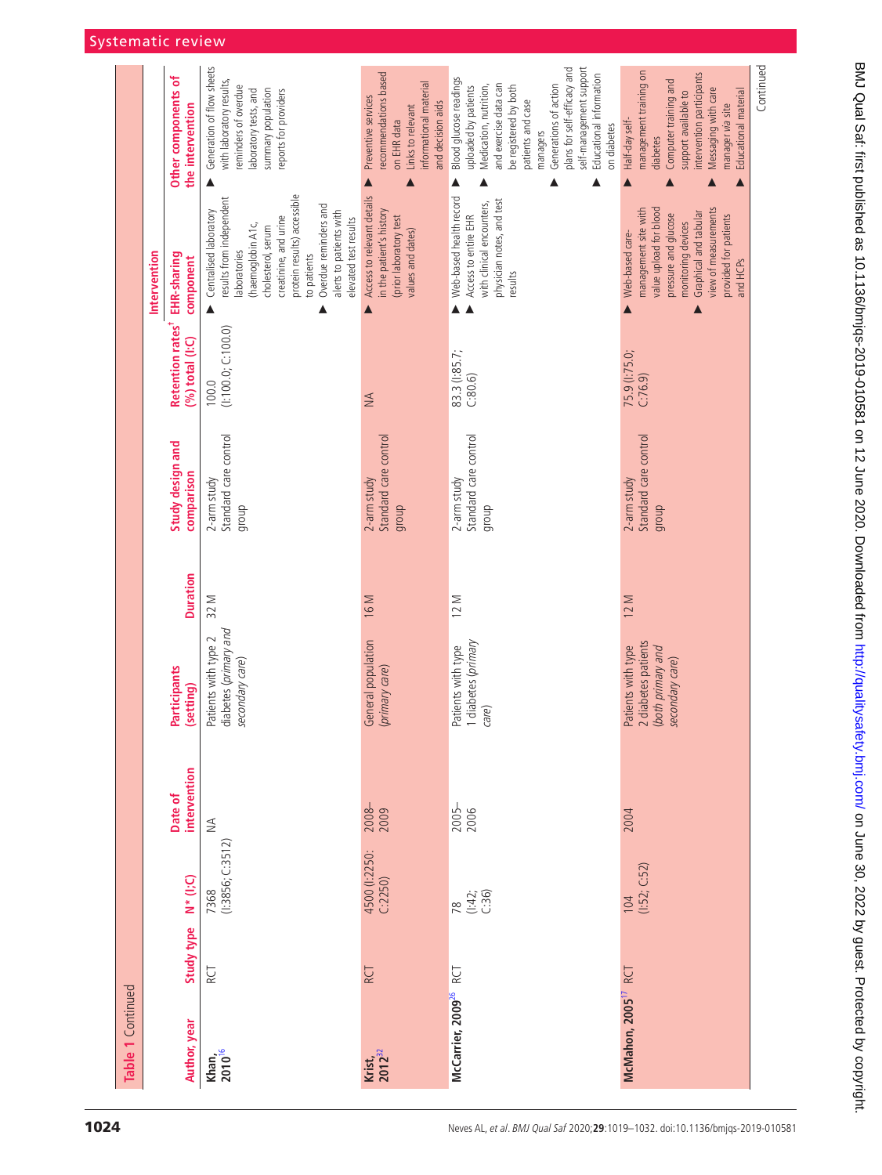| Table 1 Continued                 |            |                                 |                         |                                                                                  |                 |                                                  |                                                   |                                                                                                                                                                                                                                                                  |                                                                                                                                                                                                                                                                                          |
|-----------------------------------|------------|---------------------------------|-------------------------|----------------------------------------------------------------------------------|-----------------|--------------------------------------------------|---------------------------------------------------|------------------------------------------------------------------------------------------------------------------------------------------------------------------------------------------------------------------------------------------------------------------|------------------------------------------------------------------------------------------------------------------------------------------------------------------------------------------------------------------------------------------------------------------------------------------|
|                                   |            |                                 |                         |                                                                                  |                 |                                                  |                                                   | Intervention                                                                                                                                                                                                                                                     |                                                                                                                                                                                                                                                                                          |
| Author, year                      | Study type | $N^*(l;C)$                      | intervention<br>Date of | Participants<br>(setting)                                                        | <b>Duration</b> | Study design and<br>comparison                   | Retention rates <sup>+</sup><br>$(%)$ total (I:C) | EHR-sharing<br>component                                                                                                                                                                                                                                         | Other components of<br>the intervention                                                                                                                                                                                                                                                  |
| Khan, $2010^{16}$                 | RCT        | (1:3856; C:3512)<br>7368        | $\lessgtr$              | diabetes (primary and<br>Patients with type 2<br>secondary care)                 | 32 M            | Standard care control<br>2-arm study<br>group    | (1:100.0; C:100.0)<br>100.0                       | protein results) accessible<br>results from independent<br>Overdue reminders and<br>Centralised laboratory<br>alerts to patients with<br>creatinine, and urine<br>elevated test results<br>(haemoglobin A1c,<br>cholesterol, serum<br>aboratories<br>to patients | Generation of flow sheets<br>with laboratory results,<br>reminders of overdue<br>summary population<br>eports for providers<br>laboratory tests, and                                                                                                                                     |
| $Krist, 2012^{32}$                | <b>RCT</b> | 4500 (1:2250:<br>C:2250)        | $2008 -$<br>2009        | General population<br>(primary care)                                             | 16 M            | Standard care control<br>$2$ -arm study<br>dionb | $\lessgtr$                                        | Access to relevant details<br>in the patient's history<br>(prior laboratory test<br>values and dates)                                                                                                                                                            | recommendations based<br>informational material<br>Preventive services<br>and decision aids<br>Links to relevant<br>on EHR data                                                                                                                                                          |
| McCarrier, 2009 <sup>26</sup> RCT |            | (1:42; 0:36)<br>$\overline{78}$ | 2005-<br>2006           | 1 diabetes (primary<br>Patients with type<br>care)                               | 12 M            | Standard care control<br>2-arm study<br>qroup    | 83.3 (1:85.7;<br>C:80.6                           | Web-based health record<br>physician notes, and test<br>with clinical encounters,<br>Access to entire EHR<br>results                                                                                                                                             | self-management support<br>plans for self-efficacy and<br>Educational information<br>Blood glucose readings<br>and exercise data can<br>Generations of action<br>Medication, nutrition,<br>be registered by both<br>uploaded by patients<br>patients and case<br>on diabetes<br>managers |
| McMahon, 2005 <sup>17</sup> RCT   |            | (1:52; C:52)<br>104             | 2004                    | 2 diabetes patients<br>Patients with type<br>both primary and<br>secondary care) | 12 M            | Standard care control<br>2-arm study<br>group    | 75.9 (1:75.0;<br>C:76.9)                          | view of measurements<br>value upload for blood<br>management site with<br>Graphical and tabular<br>pressure and glucose<br>provided for patients<br>monitoring devices<br>Web-based care-<br>and HCPs                                                            | management training on<br>intervention participants<br>Computer training and<br>Messaging with care<br>Educational material<br>support available to<br>manager via site<br>Half-day self-<br>diabetes                                                                                    |
|                                   |            |                                 |                         |                                                                                  |                 |                                                  |                                                   |                                                                                                                                                                                                                                                                  | Continued                                                                                                                                                                                                                                                                                |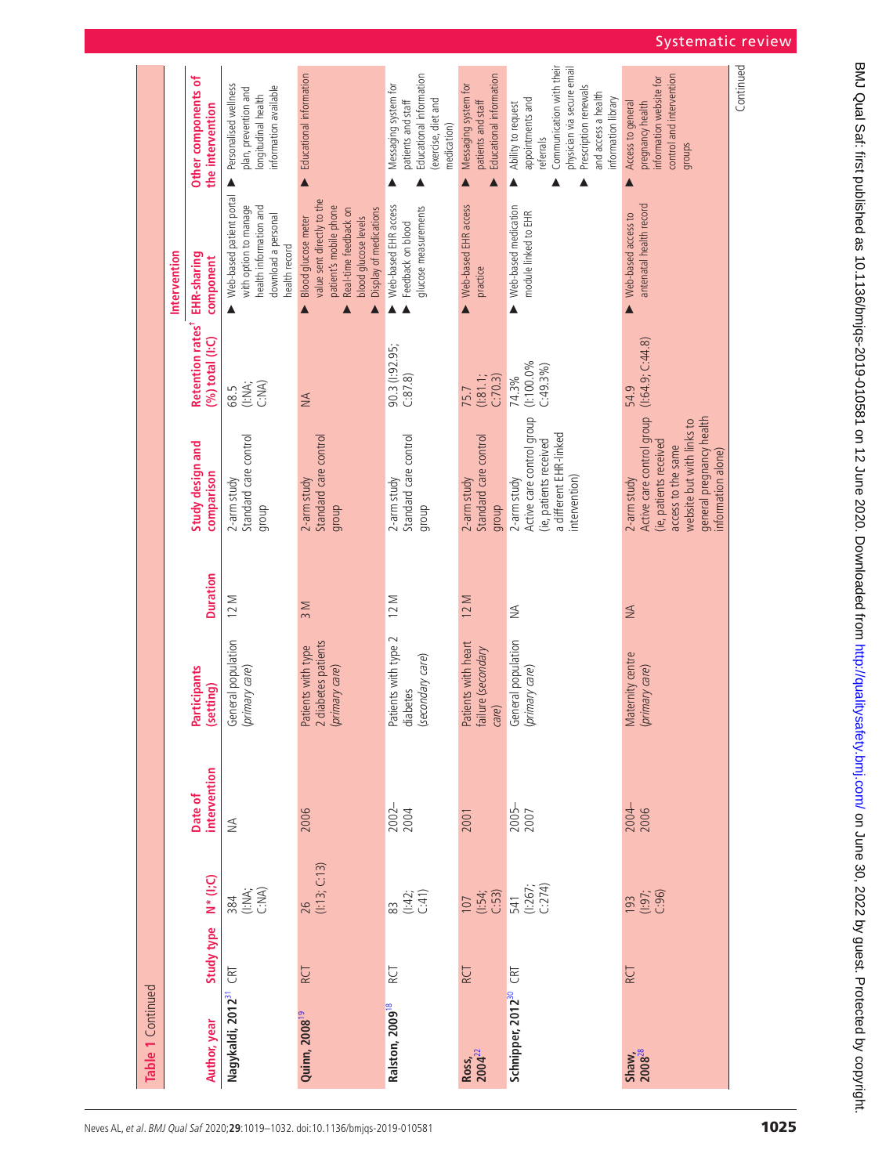| Table 1 Continued                 |            |                                                                                     |                         |                                                                                  |                              |                                                                                                                                                                         |                                                                |                                                                                                                                                        |                                                                                                                                                                                      |
|-----------------------------------|------------|-------------------------------------------------------------------------------------|-------------------------|----------------------------------------------------------------------------------|------------------------------|-------------------------------------------------------------------------------------------------------------------------------------------------------------------------|----------------------------------------------------------------|--------------------------------------------------------------------------------------------------------------------------------------------------------|--------------------------------------------------------------------------------------------------------------------------------------------------------------------------------------|
|                                   |            |                                                                                     |                         |                                                                                  |                              |                                                                                                                                                                         |                                                                | Intervention                                                                                                                                           |                                                                                                                                                                                      |
| Author, year                      | Study type | $N^*$ (I;C)                                                                         | intervention<br>Date of | <b>Participants</b><br>(setting)                                                 | <b>Duration</b>              | Study design and<br>comparison                                                                                                                                          | Retention rates <sup>+</sup> EHR-sharing<br>$(96)$ total (I:C) | component                                                                                                                                              | Other components of<br>the intervention                                                                                                                                              |
| Nagykaldi, 2012 <sup>31</sup>     | CRT        | 384<br>C:NA;<br>C:NA)                                                               | $\lessgtr$              | General population<br>(primary care)                                             | 12 M                         | Standard care control<br>2-arm study<br>dionb                                                                                                                           | 68.5<br>(:NA;<br>C:NA)                                         | Web-based patient portal<br>with option to manage<br>health information and<br>download a personal<br>health record                                    | Personalised wellness<br>information available<br>plan, prevention and<br>longitudinal health                                                                                        |
| Quinn, 2008 <sup>19</sup>         | RCT        | $26$<br>( $(13; C.13)$                                                              | 2006                    | diabetes patients<br>Patients with type<br>2 diabetes patients<br>(primary care) | 3 M                          | Standard care control<br>2-arm study<br>group                                                                                                                           | $\leq$                                                         | value sent directly to the<br>patient's mobile phone<br>Display of medications<br>Real-time feedback on<br>Blood glucose meter<br>blood glucose levels | Educational information                                                                                                                                                              |
| Ralston, 2009 <sup>18</sup>       | RCT        | 83<br>(:42;<br>C:41)                                                                | 2002-                   | Patients with type 2<br>(secondary care)<br>diabetes                             | 12 M                         | Standard care control<br>2-arm study<br>qroup                                                                                                                           | 90.3 (1:92.95;<br>C:87.8)                                      | Web-based EHR access<br>glucose measurements<br>Feedback on blood                                                                                      | Educational information<br>Messaging system for<br>(exercise, diet and<br>patients and staff<br>medication)                                                                          |
| Ross,<br>2004 <sup>22</sup>       | RCT        | $\begin{array}{c} 107 \\ (1:54) \\ (-:53) \\ 541 \\ (1:267) \\ (-:274) \end{array}$ | 2001                    | Patients with heart<br>failure (secondary<br>care)                               | 12 M                         | Standard care control<br>2-arm study<br>qroup                                                                                                                           | (1:81.1)<br>C:70.3<br>75.7                                     | Web-based EHR access<br>practice                                                                                                                       | Educational information<br>Messaging system for<br>patients and staff                                                                                                                |
| Schnipper, 2012 <sup>30</sup> CRT |            |                                                                                     | 2005-<br>2007           | General population<br>(primary care)                                             | $\stackrel{\triangle}{\geq}$ | Active care control group<br>a different EHR-linked<br>(ie, patients received<br>2-arm study<br>intervention)                                                           | $(1:100.0\%$<br>C:49.3%<br>74.3%                               | Web-based medication<br>module linked to EHR                                                                                                           | Communication with their<br>physician via secure email<br>Prescription renewals<br>and access a health<br>information library<br>appointments and<br>Ability to request<br>referrals |
| $S$ haw,<br>2008 <sup>28</sup>    | RCT        | $193$<br>$(.97;$<br>$(.96)$                                                         | 2004-                   | Maternity centre<br>(primary care)                                               | $\leq$                       | Active care control group<br>general pregnancy health<br>website but with links to<br>(ie, patients received<br>access to the same<br>information alone)<br>2-arm study | (1.64.9; C.44.8)<br>54.9                                       | antenatal health record<br>Web-based access to                                                                                                         | control and intervention<br>information website for<br>Access to general<br>pregnancy health<br>groups                                                                               |
|                                   |            |                                                                                     |                         |                                                                                  |                              |                                                                                                                                                                         |                                                                |                                                                                                                                                        | Continued                                                                                                                                                                            |

## Systematic review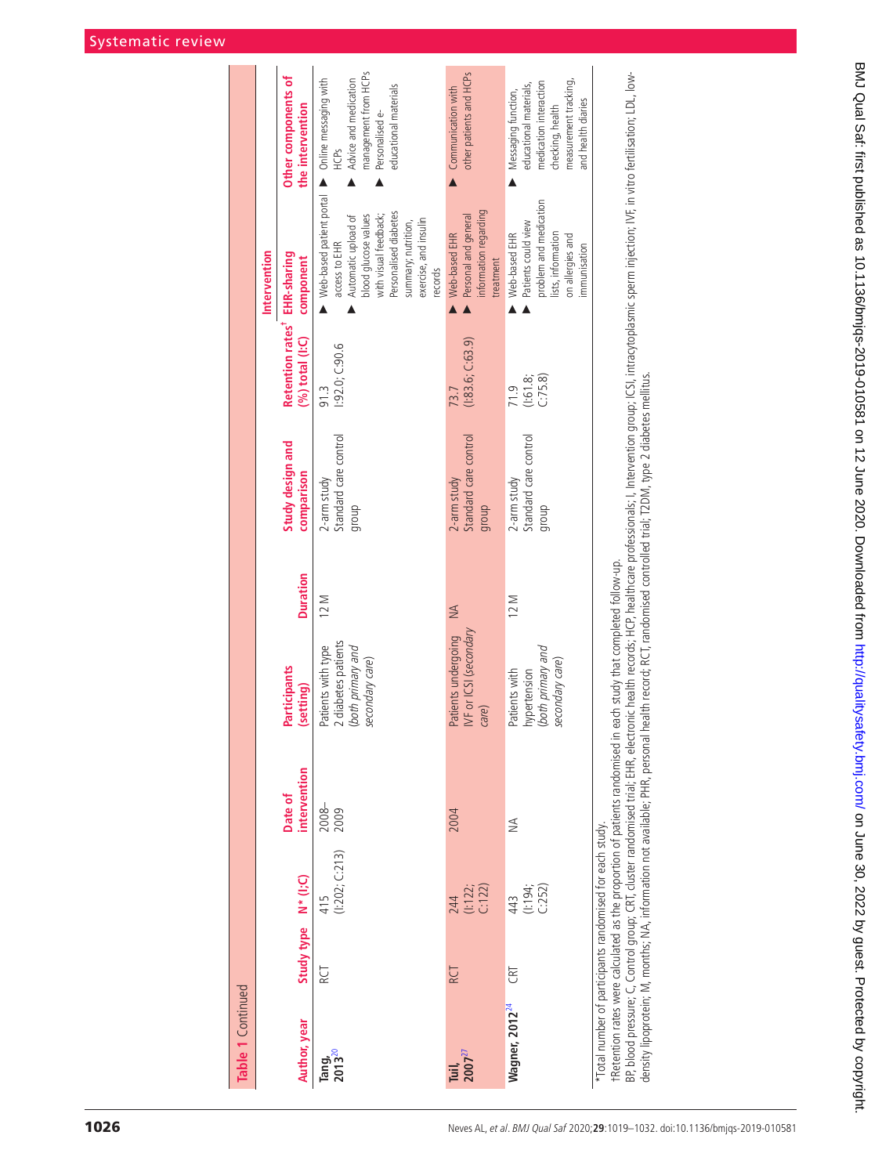| Table 1 Continued           |                     |                                                          |                                                                              |                                                                                   |                 |                                               |                                                                 |                                                                                                                                                                                                                               |                                                                                                                                            |
|-----------------------------|---------------------|----------------------------------------------------------|------------------------------------------------------------------------------|-----------------------------------------------------------------------------------|-----------------|-----------------------------------------------|-----------------------------------------------------------------|-------------------------------------------------------------------------------------------------------------------------------------------------------------------------------------------------------------------------------|--------------------------------------------------------------------------------------------------------------------------------------------|
|                             |                     |                                                          |                                                                              |                                                                                   |                 |                                               |                                                                 | Intervention                                                                                                                                                                                                                  |                                                                                                                                            |
| Author, year                | Study type N* (I;C) |                                                          | intervention<br>Date of                                                      | Participants<br>(setting)                                                         | <b>Duration</b> | Study design and<br>comparison                | Retention rates <sup>+</sup> EHR-sharing<br>$(%)$ total $(1:C)$ | component                                                                                                                                                                                                                     | Other components of<br>the intervention                                                                                                    |
| Tang<br>2013 <sup>20</sup>  | RCT                 | (1:202; C:213)<br>415                                    | $2008 -$<br>2009                                                             | 2 diabetes patients<br>Patients with type<br>(both primary and<br>secondary care) | 12 M            | Standard care control<br>2-arm study<br>dhoub | 1:92.0;C:90.6<br>91.3                                           | Web-based patient portal > Online messaging with<br>Personalised diabetes<br>with visual feedback;<br>blood glucose values<br>Automatic upload of<br>exercise, and insulin<br>summary; nutrition,<br>access to EHR<br>records | management from HCPs<br>Advice and medication<br>educational materials<br>Personalised e-<br><b>HCPS</b>                                   |
| Tuil,<br>2007 <sup>27</sup> | RCT                 | 244<br>(!:122;<br>C:122)                                 | 2004                                                                         | IVF or ICSI (secondary<br>Patients undergoing<br>care)                            | $\leq$          | Standard care control<br>2-arm study<br>group | (1:83.6; C:63.9)<br>73.7                                        | information regarding<br>Personal and general<br>Web-based EHR<br>treatment                                                                                                                                                   | other patients and HCPs<br>Communication with                                                                                              |
| Wagner, 2012 <sup>24</sup>  | CRT                 | (1:194; C.252)<br>443                                    | ₹                                                                            | (both primary and<br>secondary care)<br>hypertension<br>Patients with             | 12 M            | Standard care control<br>2-arm study<br>dhoub | C:75.8<br>(1:61.8;<br>71.9                                      | problem and medication<br>Patients could view<br>lists, information<br>Web-based EHR<br>on allergies and<br>immunisation                                                                                                      | measurement tracking,<br>medication interaction<br>educational materials,<br>Messaging function,<br>and health diaries<br>checking, health |
|                             |                     | *Total number of participants randomised for each study. | +Retention rates were calculated as the proportion of patients randomised in | each study that completed follow-up.                                              |                 |                                               |                                                                 |                                                                                                                                                                                                                               |                                                                                                                                            |

BP, blood pressure; C, Control group; CRT, cluster randomised trial; EHR, electronic health records; HCP, healthcare professionals; I, Intervention group; ICSI, intracytoplasmic sperm injection; IVF, in vitro fertilisation BP blood pressure; C, Control group; CRT, cluster randomised trial; EHR, electronic health records; HCP, health care professionals; l, Intervention group; ICSI, intracytoplasmic sperm injection; IVF, in vitro fertilisation density lipoprotein; M, months; NA, information not available; PHR, personal health record; RCT, randomised controlled trial; T2DM, type 2 diabetes mellitus.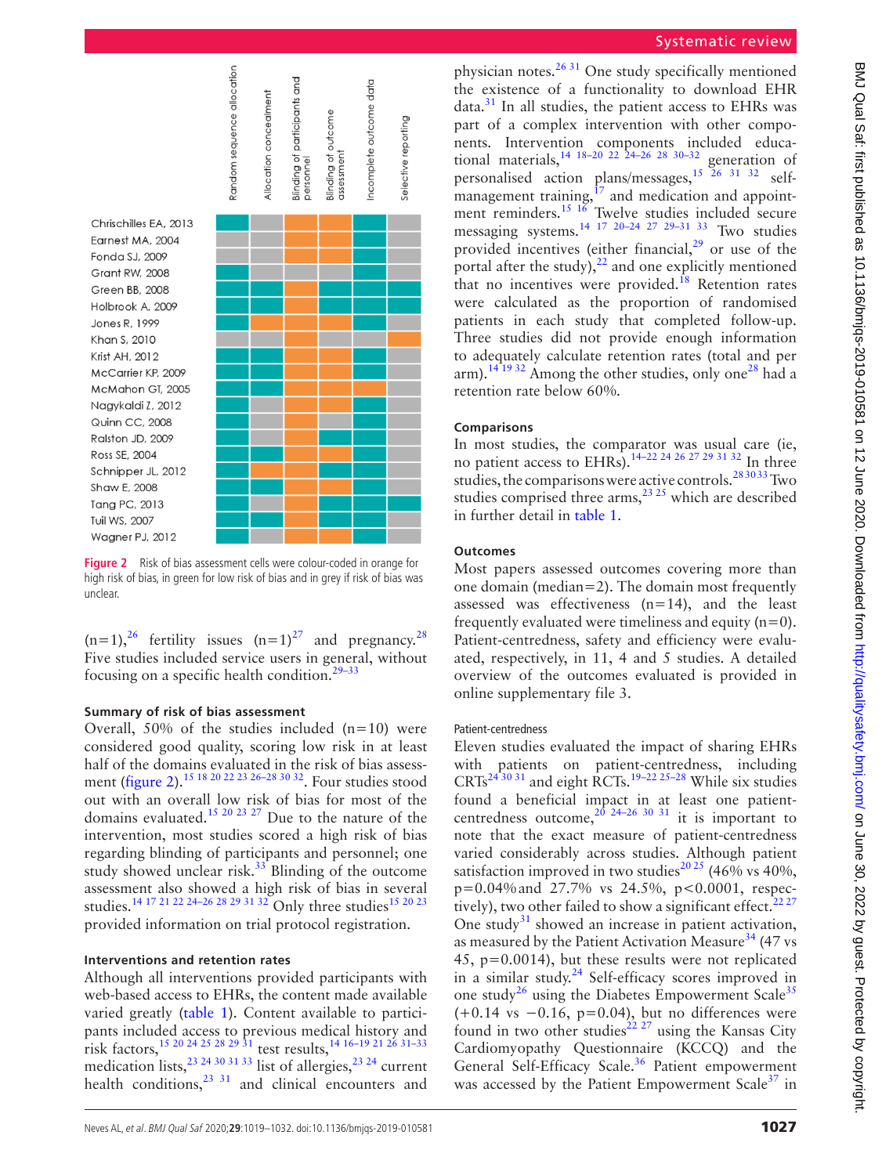

<span id="page-8-0"></span>**Figure 2** Risk of bias assessment cells were colour-coded in orange for high risk of bias, in green for low risk of bias and in grey if risk of bias was unclear.

 $(n=1)$ ,<sup>[26](#page-12-17)</sup> fertility issues  $(n=1)$ <sup>27</sup> and pregnancy.<sup>28</sup> Five studies included service users in general, without focusing on a specific health condition.<sup>[29–33](#page-12-14)</sup>

### **Summary of risk of bias assessment**

Overall,  $50\%$  of the studies included (n=10) were considered good quality, scoring low risk in at least half of the domains evaluated in the risk of bias assessment ([figure](#page-8-0) 2).[15 18 20 22 23 26–28 30 32](#page-12-15). Four studies stood out with an overall low risk of bias for most of the domains evaluated.<sup>15 20 23 27</sup> Due to the nature of the intervention, most studies scored a high risk of bias regarding blinding of participants and personnel; one study showed unclear risk.<sup>33</sup> Blinding of the outcome assessment also showed a high risk of bias in several studies.<sup>14 17 21 22 24-26 28 29 31 32</sup> Only three studies<sup>[15 20 23](#page-12-15)</sup> provided information on trial protocol registration.

### **Interventions and retention rates**

Although all interventions provided participants with web-based access to EHRs, the content made available varied greatly [\(table](#page-3-0) 1). Content available to participants included access to previous medical history and risk factors[,15 20 24 25 28 29 31](#page-12-15) test results[,14 16–19 21 26 31–33](#page-12-10) medication lists,  $^{23}$   $^{24}$   $^{30}$   $^{31}$   $^{33}$  list of allergies,  $^{23}$   $^{24}$  current health conditions, $^{23}$  31 and clinical encounters and

### Systematic review

physician notes. $2631$  One study specifically mentioned the existence of a functionality to download EHR  $data.<sup>31</sup>$  In all studies, the patient access to EHRs was part of a complex intervention with other components. Intervention components included educational materials,  $14 \frac{18-20}{22}$   $22 \frac{24-26}{28}$   $30-32$  generation of personalised action plans/messages,[15 26 31 32](#page-12-15) selfmanagement training,<sup>17</sup> and medication and appointment reminders.<sup>15 16</sup> Twelve studies included secure messaging systems.<sup>[14 17 20–24 27 29–31 33](#page-12-10)</sup> Two studies provided incentives (either financial, $29$  or use of the portal after the study), $^{22}$  and one explicitly mentioned that no incentives were provided.<sup>[18](#page-12-20)</sup> Retention rates were calculated as the proportion of randomised patients in each study that completed follow-up. Three studies did not provide enough information to adequately calculate retention rates (total and per arm).<sup>[14 19 32](#page-12-10)</sup> Among the other studies, only one<sup>28</sup> had a retention rate below 60%.

### **Comparisons**

In most studies, the comparator was usual care (ie, no patient access to EHRs).<sup>14–22</sup> <sup>24 26</sup> <sup>27</sup> <sup>29</sup> <sup>31 32</sup> In three studies, the comparisons were active controls.[28 30 33](#page-12-23) Two studies comprised three arms, $^{23}$   $^{25}$  which are described in further detail in [table](#page-3-0) 1.

### **Outcomes**

Most papers assessed outcomes covering more than one domain (median=2). The domain most frequently assessed was effectiveness (n=14), and the least frequently evaluated were timeliness and equity  $(n=0)$ . Patient-centredness, safety and efficiency were evaluated, respectively, in 11, 4 and 5 studies. A detailed overview of the outcomes evaluated is provided in [online supplementary file 3.](https://dx.doi.org/10.1136/bmjqs-2019-010581)

### Patient-centredness

Eleven studies evaluated the impact of sharing EHRs with patients on patient-centredness, including  $CRTs^{24\overline{3}0\overline{3}1}$  and eight RCTs.<sup>19–22 25–28</sup> While six studies found a beneficial impact in at least one patientcentredness outcome,  $2^{0}$  24–26 30 31 it is important to note that the exact measure of patient-centredness varied considerably across studies. Although patient satisfaction improved in two studies<sup>20 25</sup> (46% vs 40%, p=0.04%and 27.7% vs 24.5%, p<0.0001, respectively), two other failed to show a significant effect. $2227$ One study $31$  showed an increase in patient activation, as measured by the Patient Activation Measure<sup>34</sup> (47 vs 45, p=0.0014), but these results were not replicated in a similar study[.24](#page-12-26) Self-efficacy scores improved in one study<sup>[26](#page-12-17)</sup> using the Diabetes Empowerment Scale<sup>[35](#page-13-4)</sup>  $(+0.14 \text{ vs } -0.16, \text{ p=0.04}),$  but no differences were found in two other studies<sup>22.27</sup> using the Kansas City Cardiomyopathy Questionnaire (KCCQ) and the General Self-Efficacy Scale.<sup>[36](#page-13-5)</sup> Patient empowerment was accessed by the Patient Empowerment Scale $37$  in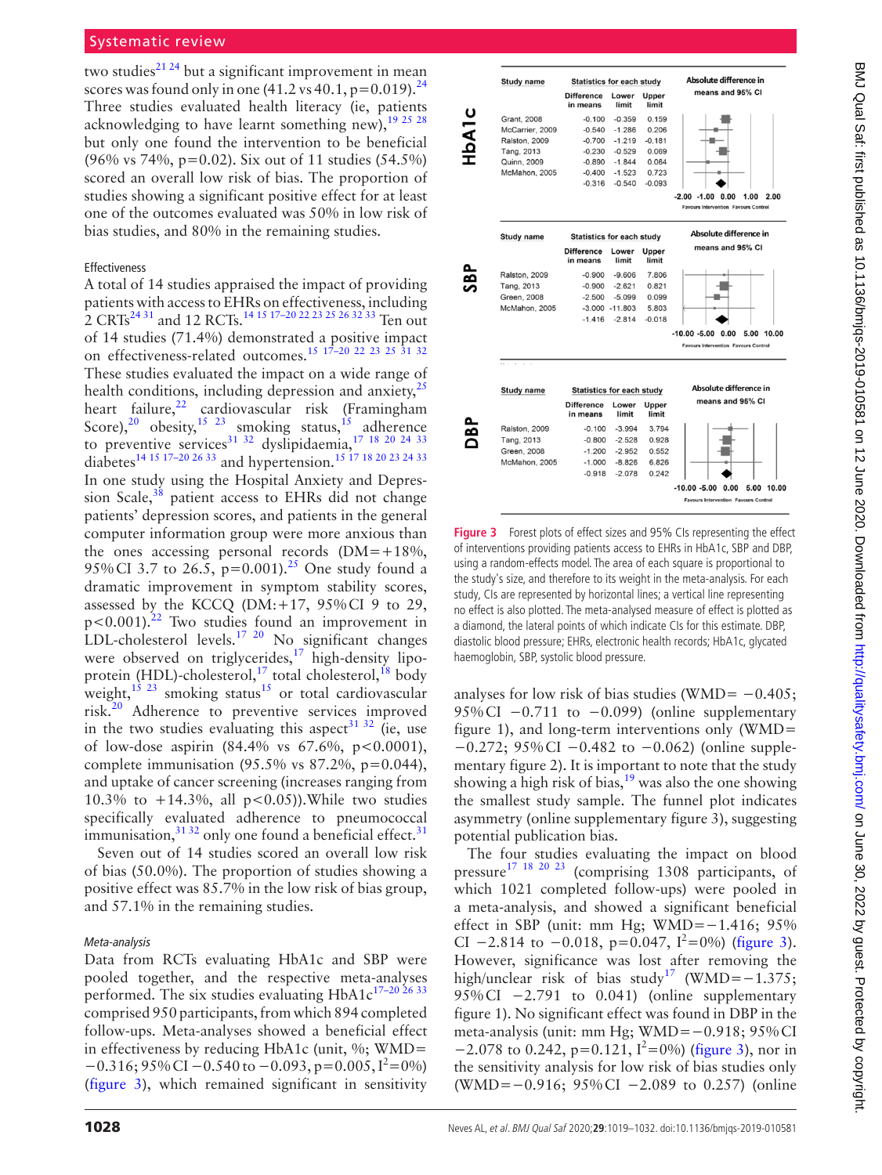two studies<sup>21 24</sup> but a significant improvement in mean scores was found only in one  $(41.2 \text{ vs } 40.1, \text{p}=0.019).$ <sup>24</sup> Three studies evaluated health literacy (ie, patients acknowledging to have learnt something new),  $19^{25}$   $28$ but only one found the intervention to be beneficial (96% vs 74%, p=0.02). Six out of 11 studies (54.5%) scored an overall low risk of bias. The proportion of studies showing a significant positive effect for at least one of the outcomes evaluated was 50% in low risk of bias studies, and 80% in the remaining studies.

### Effectiveness

A total of 14 studies appraised the impact of providing patients with access to EHRs on effectiveness, including 2 CRTs<sup>[24 31](#page-12-26)</sup> and 12 RCTs.<sup>14 15 17–20 22 23 25 26 32 33</sup> Ten out of 14 studies (71.4%) demonstrated a positive impact on effectiveness-related outcomes.<sup>[15 17–20 22 23 25 31 32](#page-12-15)</sup> These studies evaluated the impact on a wide range of health conditions, including depression and anxiety, $^{25}$  $^{25}$  $^{25}$ heart failure, $^{22}$  $^{22}$  $^{22}$  cardiovascular risk (Framingham Score),<sup>[20](#page-12-24)</sup> obesity,<sup>15 23</sup> smoking status,<sup>15</sup> adherence to preventive services<sup>31 32</sup> dyslipidaemia,<sup>17 18 20 24 33</sup> diabetes<sup>14 15</sup> <sup>17–20</sup> <sup>26</sup> <sup>33</sup> and hypertension.<sup>15</sup> <sup>17</sup> <sup>18</sup> <sup>20</sup> <sup>23</sup> <sup>24</sup> <sup>33</sup> In one study using the Hospital Anxiety and Depression Scale, $38$  patient access to EHRs did not change patients' depression scores, and patients in the general computer information group were more anxious than the ones accessing personal records  $(DM=+18\%,$ 95% CI 3.7 to 26.5,  $p=0.001$ .<sup>25</sup> One study found a dramatic improvement in symptom stability scores, assessed by the KCCQ (DM:+17, 95%CI 9 to 29,  $p < 0.001$ ).<sup>[22](#page-12-21)</sup> Two studies found an improvement in LDL-cholesterol levels.<sup>17 20</sup> No significant changes were observed on triglycerides,<sup>[17](#page-12-18)</sup> high-density lipoprotein (HDL)-cholesterol,<sup>17</sup> total cholesterol,<sup>18</sup> body weight, $^{15}$  <sup>23</sup> smoking status<sup>15</sup> or total cardiovascular risk[.20](#page-12-24) Adherence to preventive services improved in the two studies evaluating this aspect<sup>31 32</sup> (ie, use of low-dose aspirin (84.4% vs 67.6%, p<0.0001), complete immunisation  $(95.5\% \text{ vs } 87.2\%, \text{ p}=0.044),$ and uptake of cancer screening (increases ranging from 10.3% to  $+14.3\%$ , all  $p < 0.05$ )). While two studies specifically evaluated adherence to pneumococcal immunisation,  $3132$  only one found a beneficial effect.<sup>31</sup>

Seven out of 14 studies scored an overall low risk of bias (50.0%). The proportion of studies showing a positive effect was 85.7% in the low risk of bias group, and 57.1% in the remaining studies.

### *Meta-analysis*

Data from RCTs evaluating HbA1c and SBP were pooled together, and the respective meta-analyses performed. The six studies evaluating HbA1c<sup>17-20 26 33</sup> comprised 950 participants, from which 894 completed follow-ups. Meta-analyses showed a beneficial effect in effectiveness by reducing HbA1c (unit,  $\%$ ; WMD=  $-0.316$ ; 95% CI  $-0.540$  to  $-0.093$ , p=0.005, I<sup>2</sup>=0%) [\(figure](#page-9-0) 3), which remained significant in sensitivity



<span id="page-9-0"></span>**Figure 3** Forest plots of effect sizes and 95% CIs representing the effect of interventions providing patients access to EHRs in HbA1c, SBP and DBP, using a random-effects model. The area of each square is proportional to the study's size, and therefore to its weight in the meta-analysis. For each study, CIs are represented by horizontal lines; a vertical line representing no effect is also plotted. The meta-analysed measure of effect is plotted as a diamond, the lateral points of which indicate CIs for this estimate. DBP, diastolic blood pressure; EHRs, electronic health records; HbA1c, glycated haemoglobin, SBP, systolic blood pressure.

analyses for low risk of bias studies (WMD=  $-0.405$ ; 95%CI  $-0.711$  to  $-0.099$ ) ([online supplementary](https://dx.doi.org/10.1136/bmjqs-2019-010581) [figure 1](https://dx.doi.org/10.1136/bmjqs-2019-010581)), and long-term interventions only (WMD= −0.272; 95%CI −0.482 to −0.062) ([online supple](https://dx.doi.org/10.1136/bmjqs-2019-010581)[mentary figure 2\)](https://dx.doi.org/10.1136/bmjqs-2019-010581). It is important to note that the study showing a high risk of bias, $19$  was also the one showing the smallest study sample. The funnel plot indicates asymmetry ([online supplementary figure 3\)](https://dx.doi.org/10.1136/bmjqs-2019-010581), suggesting potential publication bias.

The four studies evaluating the impact on blood pressure[17 18 20 23](#page-12-18) (comprising 1308 participants, of which 1021 completed follow-ups) were pooled in a meta-analysis, and showed a significant beneficial effect in SBP (unit: mm Hg; WMD=−1.416; 95% CI  $-2.814$  to  $-0.018$ , p=0.047, I<sup>2</sup>=0%) ([figure](#page-9-0) 3). However, significance was lost after removing the high/unclear risk of bias study<sup>[17](#page-12-18)</sup> (WMD= $-1.375$ ; 95%CI −2.791 to 0.041) [\(online supplementary](https://dx.doi.org/10.1136/bmjqs-2019-010581) [figure 1\)](https://dx.doi.org/10.1136/bmjqs-2019-010581). No significant effect was found in DBP in the meta-analysis (unit: mm Hg; WMD=−0.918; 95%CI  $-2.078$  to 0.242, p=0.121, I<sup>2</sup>=0%) [\(figure](#page-9-0) 3), nor in the sensitivity analysis for low risk of bias studies only (WMD=−0.916; 95%CI −2.089 to 0.257) [\(online](https://dx.doi.org/10.1136/bmjqs-2019-010581)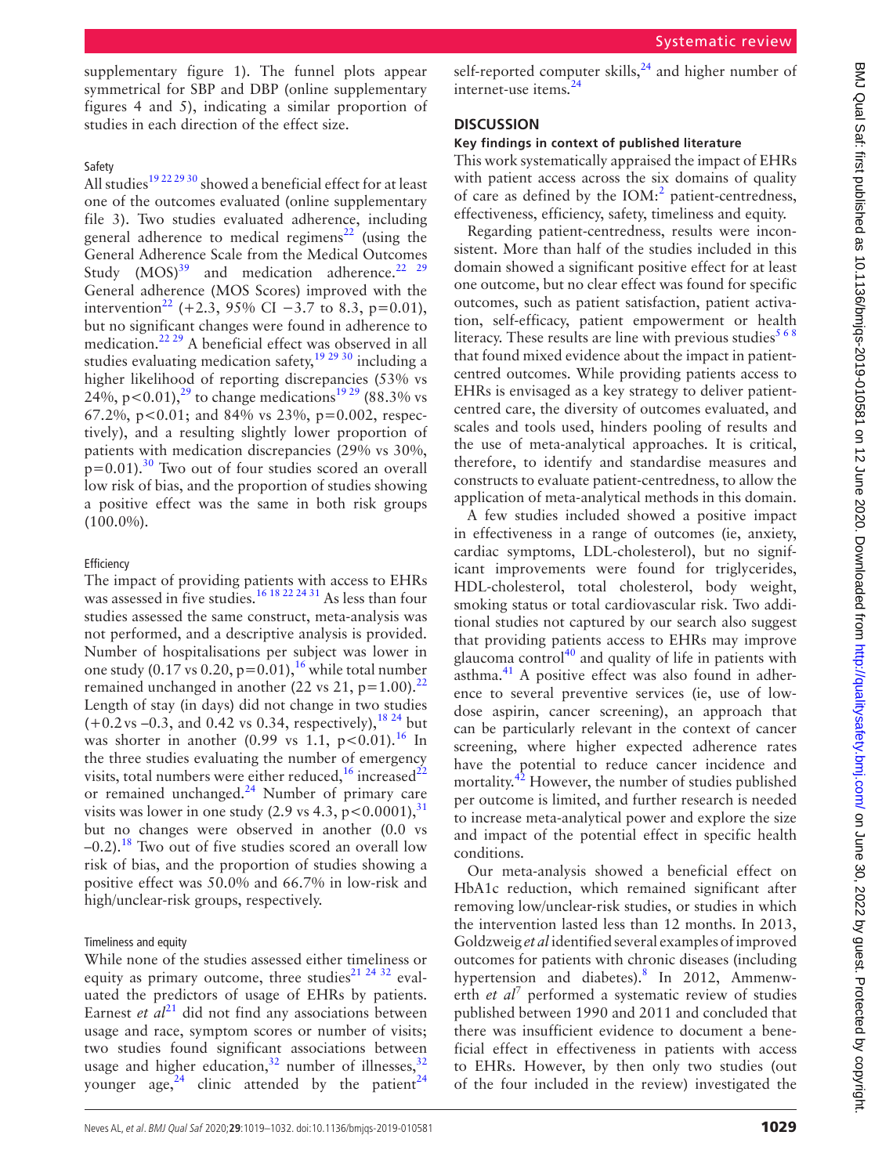Neves AL, et al. BMJ Qual Saf 2020;**29**:1019–1032. doi:10.1136/bmjqs-2019-010581 1029

[supplementary figure 1](https://dx.doi.org/10.1136/bmjqs-2019-010581)). The funnel plots appear symmetrical for SBP and DBP [\(online supplementary](https://dx.doi.org/10.1136/bmjqs-2019-010581)  [figures 4 and 5\)](https://dx.doi.org/10.1136/bmjqs-2019-010581), indicating a similar proportion of studies in each direction of the effect size.

### Safety

All studies<sup>19 22 29 30</sup> showed a beneficial effect for at least one of the outcomes evaluated ([online supplementary](https://dx.doi.org/10.1136/bmjqs-2019-010581)  [file 3](https://dx.doi.org/10.1136/bmjqs-2019-010581)). Two studies evaluated adherence, including general adherence to medical regimens<sup>[22](#page-12-21)</sup> (using the General Adherence Scale from the Medical Outcomes Study  $(MOS)^{39}$  $(MOS)^{39}$  $(MOS)^{39}$  and medication adherence.<sup>22</sup> <sup>29</sup> General adherence (MOS Scores) improved with the intervention<sup>[22](#page-12-21)</sup> (+2.3, 95% CI –3.7 to 8.3, p=0.01), but no significant changes were found in adherence to medication[.22 29](#page-12-21) A beneficial effect was observed in all studies evaluating medication safety,  $19\frac{29\frac{30}{30}}{10}$  including a higher likelihood of reporting discrepancies (53% vs 24%, p < 0.01),<sup>[29](#page-12-14)</sup> to change medications<sup>[19 29](#page-12-19)</sup> (88.3% vs 67.2%, p<0.01; and 84% vs 23%, p=0.002, respectively), and a resulting slightly lower proportion of patients with medication discrepancies (29% vs 30%,  $p=0.01$ ).<sup>30</sup> Two out of four studies scored an overall low risk of bias, and the proportion of studies showing a positive effect was the same in both risk groups (100.0%).

### **Efficiency**

The impact of providing patients with access to EHRs was assessed in five studies.<sup>[16 18 22 24 31](#page-12-16)</sup> As less than four studies assessed the same construct, meta-analysis was not performed, and a descriptive analysis is provided. Number of hospitalisations per subject was lower in one study (0.17 vs 0.20,  $p=0.01$ ),<sup>16</sup> while total number remained unchanged in another ([22](#page-12-21) vs 21,  $p=1.00$ ).<sup>22</sup> Length of stay (in days) did not change in two studies  $(+0.2 \text{ vs } -0.3, \text{ and } 0.42 \text{ vs } 0.34, \text{ respectively})$ ,<sup>18,24</sup> but was shorter in another  $(0.99 \text{ vs } 1.1, \text{ p} < 0.01).$ <sup>16</sup> In the three studies evaluating the number of emergency visits, total numbers were either reduced,<sup>[16](#page-12-16)</sup> increased<sup>22</sup> or remained unchanged. $^{24}$  Number of primary care visits was lower in one study  $(2.9 \text{ vs } 4.3, \text{ p} < 0.0001)$ , <sup>31</sup> but no changes were observed in another (0.0 vs  $-0.2$ ).<sup>[18](#page-12-20)</sup> Two out of five studies scored an overall low risk of bias, and the proportion of studies showing a positive effect was 50.0% and 66.7% in low-risk and high/unclear-risk groups, respectively.

### Timeliness and equity

While none of the studies assessed either timeliness or equity as primary outcome, three studies $21 24 32$  evaluated the predictors of usage of EHRs by patients. Earnest *et al*<sup>[21](#page-12-11)</sup> did not find any associations between usage and race, symptom scores or number of visits; two studies found significant associations between usage and higher education, $32$  number of illnesses,  $32$ younger age, $24$  clinic attended by the patient<sup>24</sup>

self-reported computer skills, $24$  and higher number of internet-use items.[24](#page-12-26)

### **Discussion**

### **Key findings in context of published literature**

This work systematically appraised the impact of EHRs with patient access across the six domains of quality of care as defined by the  $IOM$ :<sup>2</sup> patient-centredness, effectiveness, efficiency, safety, timeliness and equity.

Regarding patient-centredness, results were inconsistent. More than half of the studies included in this domain showed a significant positive effect for at least one outcome, but no clear effect was found for specific outcomes, such as patient satisfaction, patient activation, self-efficacy, patient empowerment or health literacy. These results are line with previous studies<sup>568</sup> that found mixed evidence about the impact in patientcentred outcomes. While providing patients access to EHRs is envisaged as a key strategy to deliver patientcentred care, the diversity of outcomes evaluated, and scales and tools used, hinders pooling of results and the use of meta-analytical approaches. It is critical, therefore, to identify and standardise measures and constructs to evaluate patient-centredness, to allow the application of meta-analytical methods in this domain.

A few studies included showed a positive impact in effectiveness in a range of outcomes (ie, anxiety, cardiac symptoms, LDL-cholesterol), but no significant improvements were found for triglycerides, HDL-cholesterol, total cholesterol, body weight, smoking status or total cardiovascular risk. Two additional studies not captured by our search also suggest that providing patients access to EHRs may improve glaucoma control $40$  and quality of life in patients with asthma.<sup>41</sup> A positive effect was also found in adherence to several preventive services (ie, use of lowdose aspirin, cancer screening), an approach that can be particularly relevant in the context of cancer screening, where higher expected adherence rates have the potential to reduce cancer incidence and mortality.<sup>[42](#page-13-11)</sup> However, the number of studies published per outcome is limited, and further research is needed to increase meta-analytical power and explore the size and impact of the potential effect in specific health conditions.

Our meta-analysis showed a beneficial effect on HbA1c reduction, which remained significant after removing low/unclear-risk studies, or studies in which the intervention lasted less than 12 months. In 2013, Goldzweig *et al* identified several examples of improved outcomes for patients with chronic diseases (including hypertension and diabetes).<sup>[8](#page-12-27)</sup> In 2012, Ammenwerth *et al*<sup>7</sup> performed a systematic review of studies published between 1990 and 2011 and concluded that there was insufficient evidence to document a beneficial effect in effectiveness in patients with access to EHRs. However, by then only two studies (out of the four included in the review) investigated the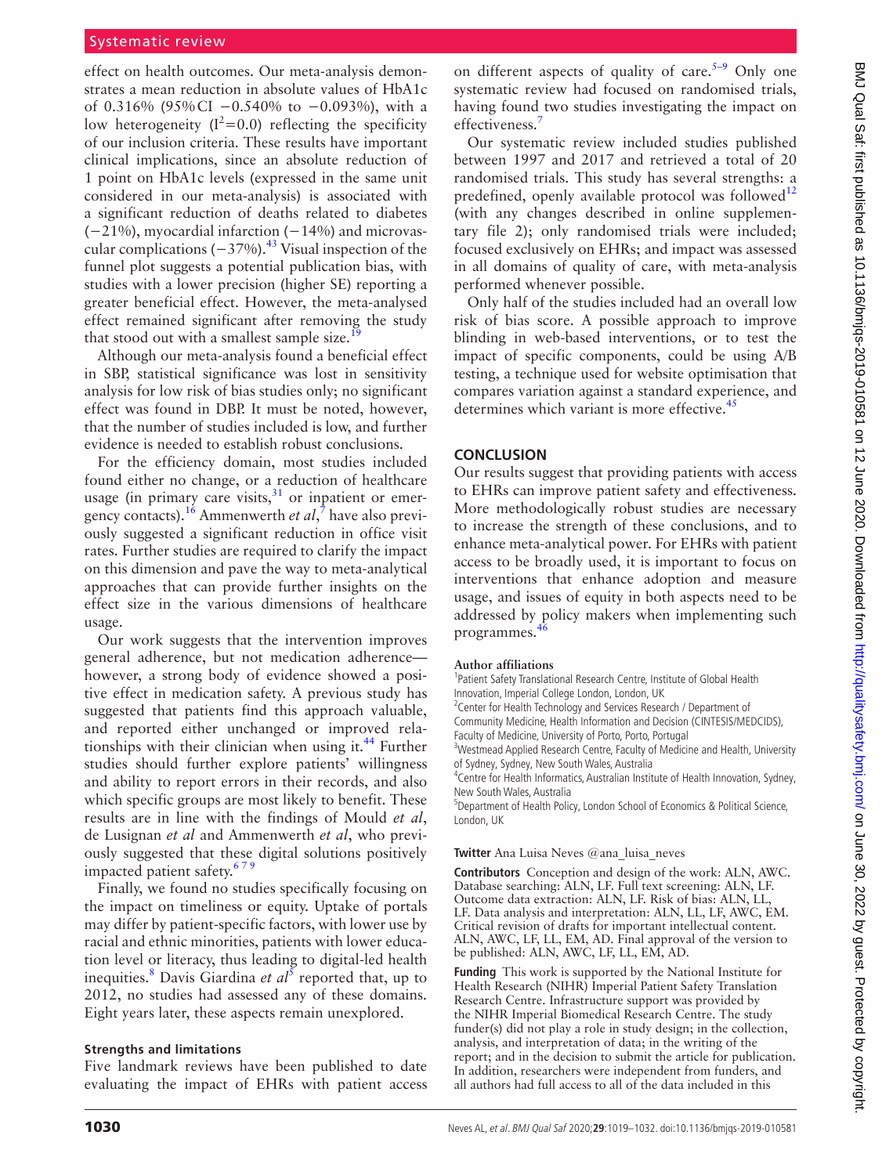### Systematic review

effect on health outcomes. Our meta-analysis demonstrates a mean reduction in absolute values of HbA1c of 0.316% (95%CI −0.540% to −0.093%), with a low heterogeneity ( $I^2$ =0.0) reflecting the specificity of our inclusion criteria. These results have important clinical implications, since an absolute reduction of 1 point on HbA1c levels (expressed in the same unit considered in our meta-analysis) is associated with a significant reduction of deaths related to diabetes (−21%), myocardial infarction (−14%) and microvascular complications  $(-37%)$ .<sup>[43](#page-13-12)</sup> Visual inspection of the funnel plot suggests a potential publication bias, with studies with a lower precision (higher SE) reporting a greater beneficial effect. However, the meta-analysed effect remained significant after removing the study that stood out with a smallest sample size.<sup>1</sup>

Although our meta-analysis found a beneficial effect in SBP, statistical significance was lost in sensitivity analysis for low risk of bias studies only; no significant effect was found in DBP. It must be noted, however, that the number of studies included is low, and further evidence is needed to establish robust conclusions.

For the efficiency domain, most studies included found either no change, or a reduction of healthcare usage (in primary care visits, $31$  or inpatient or emergency contacts).[16](#page-12-16) Ammenwerth *et al*, [7](#page-12-5) have also previously suggested a significant reduction in office visit rates. Further studies are required to clarify the impact on this dimension and pave the way to meta-analytical approaches that can provide further insights on the effect size in the various dimensions of healthcare usage.

Our work suggests that the intervention improves general adherence, but not medication adherence however, a strong body of evidence showed a positive effect in medication safety. A previous study has suggested that patients find this approach valuable, and reported either unchanged or improved rela-tionships with their clinician when using it.<sup>[44](#page-13-13)</sup> Further studies should further explore patients' willingness and ability to report errors in their records, and also which specific groups are most likely to benefit. These results are in line with the findings of Mould *et al*, de Lusignan *et al* and Ammenwerth *et al*, who previously suggested that these digital solutions positively impacted patient safety.<sup>679</sup>

Finally, we found no studies specifically focusing on the impact on timeliness or equity. Uptake of portals may differ by patient-specific factors, with lower use by racial and ethnic minorities, patients with lower education level or literacy, thus leading to digital-led health inequities.<sup>[8](#page-12-27)</sup> Davis Giardina *et al*<sup>[5](#page-12-3)</sup> reported that, up to 2012, no studies had assessed any of these domains. Eight years later, these aspects remain unexplored.

### **Strengths and limitations**

Five landmark reviews have been published to date evaluating the impact of EHRs with patient access

on different aspects of quality of care.<sup>5–9</sup> Only one systematic review had focused on randomised trials, having found two studies investigating the impact on effectiveness.

Our systematic review included studies published between 1997 and 2017 and retrieved a total of 20 randomised trials. This study has several strengths: a predefined, openly available protocol was followed $12$ (with any changes described in [online supplemen](https://dx.doi.org/10.1136/bmjqs-2019-010581)[tary file 2](https://dx.doi.org/10.1136/bmjqs-2019-010581)); only randomised trials were included; focused exclusively on EHRs; and impact was assessed in all domains of quality of care, with meta-analysis performed whenever possible.

Only half of the studies included had an overall low risk of bias score. A possible approach to improve blinding in web-based interventions, or to test the impact of specific components, could be using A/B testing, a technique used for website optimisation that compares variation against a standard experience, and determines which variant is more effective.<sup>[45](#page-13-14)</sup>

### **Conclusion**

Our results suggest that providing patients with access to EHRs can improve patient safety and effectiveness. More methodologically robust studies are necessary to increase the strength of these conclusions, and to enhance meta-analytical power. For EHRs with patient access to be broadly used, it is important to focus on interventions that enhance adoption and measure usage, and issues of equity in both aspects need to be addressed by policy makers when implementing such programmes. $46$ 

### **Author affiliations**

<sup>1</sup>Patient Safety Translational Research Centre, Institute of Global Health Innovation, Imperial College London, London, UK

<sup>2</sup> Center for Health Technology and Services Research / Department of

Community Medicine, Health Information and Decision (CINTESIS/MEDCIDS),

Faculty of Medicine, University of Porto, Porto, Portugal

<sup>3</sup>Westmead Applied Research Centre, Faculty of Medicine and Health, University of Sydney, Sydney, New South Wales, Australia

<sup>4</sup> Centre for Health Informatics, Australian Institute of Health Innovation, Sydney, New South Wales, Australia

<sup>5</sup>Department of Health Policy, London School of Economics & Political Science, London, UK

### **Twitter** Ana Luisa Neves [@ana\\_luisa\\_neves](https://twitter.com/ana_luisa_neves)

**Contributors** Conception and design of the work: ALN, AWC. Database searching: ALN, LF. Full text screening: ALN, LF. Outcome data extraction: ALN, LF. Risk of bias: ALN, LL, LF. Data analysis and interpretation: ALN, LL, LF, AWC, EM. Critical revision of drafts for important intellectual content. ALN, AWC, LF, LL, EM, AD. Final approval of the version to be published: ALN, AWC, LF, LL, EM, AD.

**Funding** This work is supported by the National Institute for Health Research (NIHR) Imperial Patient Safety Translation Research Centre. Infrastructure support was provided by the NIHR Imperial Biomedical Research Centre. The study funder(s) did not play a role in study design; in the collection, analysis, and interpretation of data; in the writing of the report; and in the decision to submit the article for publication. In addition, researchers were independent from funders, and all authors had full access to all of the data included in this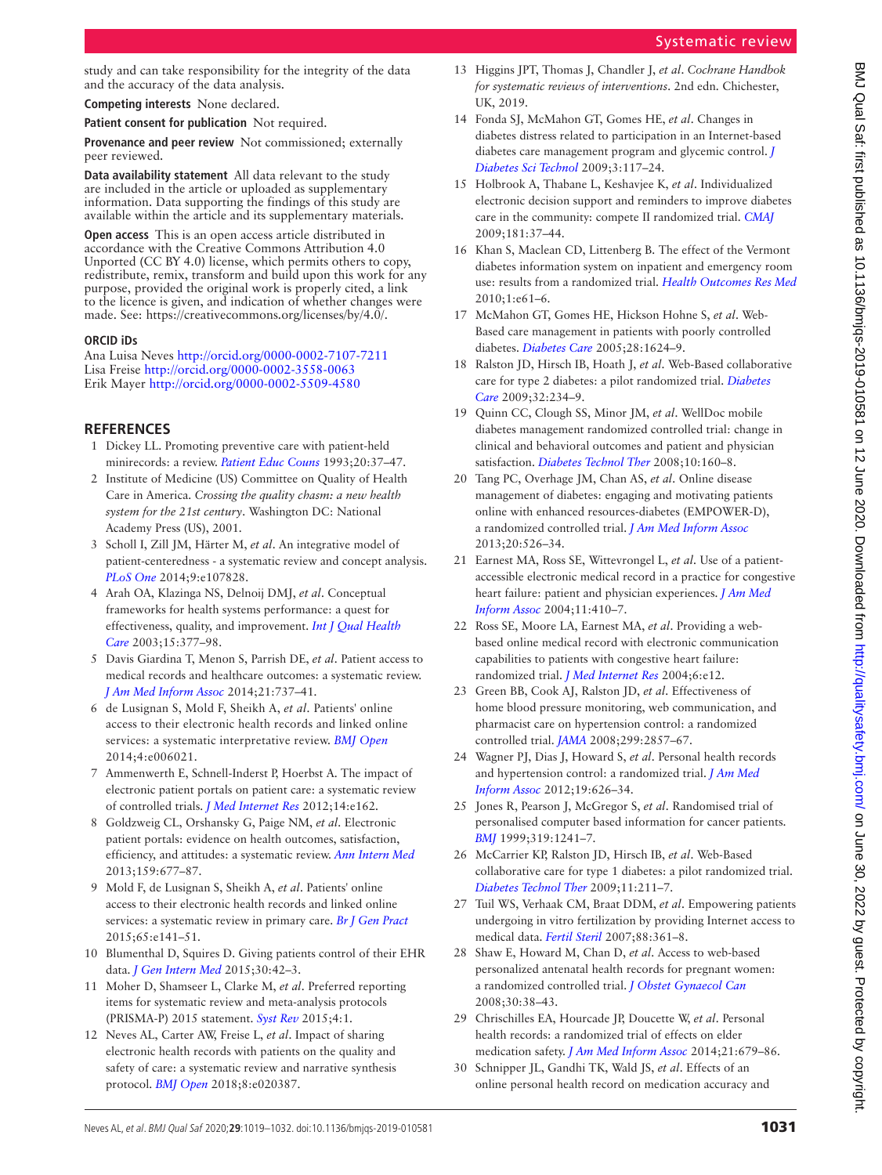### study and can take responsibility for the integrity of the data and the accuracy of the data analysis.

**Competing interests** None declared.

**Patient consent for publication** Not required.

**Provenance and peer review** Not commissioned; externally peer reviewed.

**Data availability statement** All data relevant to the study are included in the article or uploaded as supplementary information. Data supporting the findings of this study are available within the article and its supplementary materials.

**Open access** This is an open access article distributed in accordance with the Creative Commons Attribution 4.0 Unported (CC BY 4.0) license, which permits others to copy, redistribute, remix, transform and build upon this work for any purpose, provided the original work is properly cited, a link to the licence is given, and indication of whether changes were made. See: [https://creativecommons.org/licenses/by/4.0/.](https://creativecommons.org/licenses/by/4.0/)

### **ORCID iDs**

Ana Luisa Neves <http://orcid.org/0000-0002-7107-7211> Lisa Freise <http://orcid.org/0000-0002-3558-0063> Erik Mayer <http://orcid.org/0000-0002-5509-4580>

### **References**

- <span id="page-12-0"></span>1 Dickey LL. Promoting preventive care with patient-held minirecords: a review. *[Patient Educ Couns](http://dx.doi.org/10.1016/0738-3991(93)90115-D)* 1993;20:37–47.
- <span id="page-12-1"></span>2 Institute of Medicine (US) Committee on Quality of Health Care in America. *Crossing the quality chasm: a new health system for the 21st century*. Washington DC: National Academy Press (US), 2001.
- 3 Scholl I, Zill JM, Härter M, *et al*. An integrative model of patient-centeredness - a systematic review and concept analysis. *[PLoS One](http://dx.doi.org/10.1371/journal.pone.0107828)* 2014;9:e107828.
- <span id="page-12-2"></span>4 Arah OA, Klazinga NS, Delnoij DMJ, *et al*. Conceptual frameworks for health systems performance: a quest for effectiveness, quality, and improvement. *[Int J Qual Health](http://dx.doi.org/10.1093/intqhc/mzg049)  [Care](http://dx.doi.org/10.1093/intqhc/mzg049)* 2003;15:377–98.
- <span id="page-12-3"></span>5 Davis Giardina T, Menon S, Parrish DE, *et al*. Patient access to medical records and healthcare outcomes: a systematic review. *[J Am Med Inform Assoc](http://dx.doi.org/10.1136/amiajnl-2013-002239)* 2014;21:737–41.
- <span id="page-12-28"></span>6 de Lusignan S, Mold F, Sheikh A, *et al*. Patients' online access to their electronic health records and linked online services: a systematic interpretative review. *[BMJ Open](http://dx.doi.org/10.1136/bmjopen-2014-006021)* 2014;4:e006021.
- <span id="page-12-5"></span>7 Ammenwerth E, Schnell-Inderst P, Hoerbst A. The impact of electronic patient portals on patient care: a systematic review of controlled trials. *[J Med Internet Res](http://dx.doi.org/10.2196/jmir.2238)* 2012;14:e162.
- <span id="page-12-27"></span>8 Goldzweig CL, Orshansky G, Paige NM, *et al*. Electronic patient portals: evidence on health outcomes, satisfaction, efficiency, and attitudes: a systematic review. *[Ann Intern Med](http://dx.doi.org/10.7326/0003-4819-159-10-201311190-00006)* 2013;159:677–87.
- <span id="page-12-4"></span>9 Mold F, de Lusignan S, Sheikh A, *et al*. Patients' online access to their electronic health records and linked online services: a systematic review in primary care. *[Br J Gen Pract](http://dx.doi.org/10.3399/bjgp15X683941)* 2015;65:e141–51.
- <span id="page-12-6"></span>10 Blumenthal D, Squires D. Giving patients control of their EHR data. *[J Gen Intern Med](http://dx.doi.org/10.1007/s11606-014-3071-y)* 2015;30:42–3.
- <span id="page-12-7"></span>11 Moher D, Shamseer L, Clarke M, *et al*. Preferred reporting items for systematic review and meta-analysis protocols (PRISMA-P) 2015 statement. *[Syst Rev](http://dx.doi.org/10.1186/2046-4053-4-1)* 2015;4:1.
- <span id="page-12-8"></span>12 Neves AL, Carter AW, Freise L, *et al*. Impact of sharing electronic health records with patients on the quality and safety of care: a systematic review and narrative synthesis protocol. *[BMJ Open](http://dx.doi.org/10.1136/bmjopen-2017-020387)* 2018;8:e020387.
- <span id="page-12-9"></span>13 Higgins JPT, Thomas J, Chandler J, *et al*. *Cochrane Handbok for systematic reviews of interventions*. 2nd edn. Chichester, UK, 2019.
- <span id="page-12-10"></span>14 Fonda SJ, McMahon GT, Gomes HE, *et al*. Changes in diabetes distress related to participation in an Internet-based diabetes care management program and glycemic control. *[J](http://dx.doi.org/10.1177/193229680900300113)  [Diabetes Sci Technol](http://dx.doi.org/10.1177/193229680900300113)* 2009;3:117–24.
- <span id="page-12-15"></span>15 Holbrook A, Thabane L, Keshavjee K, *et al*. Individualized electronic decision support and reminders to improve diabetes care in the community: compete II randomized trial. *[CMAJ](http://dx.doi.org/10.1503/cmaj.081272)* 2009;181:37–44.
- <span id="page-12-16"></span>16 Khan S, Maclean CD, Littenberg B. The effect of the Vermont diabetes information system on inpatient and emergency room use: results from a randomized trial. *[Health Outcomes Res Med](http://dx.doi.org/10.1016/j.ehrm.2010.03.002)* 2010;1:e61–6.
- <span id="page-12-18"></span>17 McMahon GT, Gomes HE, Hickson Hohne S, *et al*. Web-Based care management in patients with poorly controlled diabetes. *[Diabetes Care](http://dx.doi.org/10.2337/diacare.28.7.1624)* 2005;28:1624–9.
- <span id="page-12-20"></span>18 Ralston JD, Hirsch IB, Hoath J, *et al*. Web-Based collaborative care for type 2 diabetes: a pilot randomized trial. *[Diabetes](http://dx.doi.org/10.2337/dc08-1220)  [Care](http://dx.doi.org/10.2337/dc08-1220)* 2009;32:234–9.
- <span id="page-12-19"></span>19 Quinn CC, Clough SS, Minor JM, *et al*. WellDoc mobile diabetes management randomized controlled trial: change in clinical and behavioral outcomes and patient and physician satisfaction. *[Diabetes Technol Ther](http://dx.doi.org/10.1089/dia.2008.0283)* 2008;10:160–8.
- <span id="page-12-24"></span>20 Tang PC, Overhage JM, Chan AS, *et al*. Online disease management of diabetes: engaging and motivating patients online with enhanced resources-diabetes (EMPOWER-D), a randomized controlled trial. *[J Am Med Inform Assoc](http://dx.doi.org/10.1136/amiajnl-2012-001263)* 2013;20:526–34.
- <span id="page-12-11"></span>21 Earnest MA, Ross SE, Wittevrongel L, *et al*. Use of a patientaccessible electronic medical record in a practice for congestive heart failure: patient and physician experiences. *[J Am Med](http://dx.doi.org/10.1197/jamia.M1479)  [Inform Assoc](http://dx.doi.org/10.1197/jamia.M1479)* 2004;11:410–7.
- <span id="page-12-21"></span>22 Ross SE, Moore LA, Earnest MA, *et al*. Providing a webbased online medical record with electronic communication capabilities to patients with congestive heart failure: randomized trial. *[J Med Internet Res](http://dx.doi.org/10.2196/jmir.6.2.e12)* 2004;6:e12.
- <span id="page-12-12"></span>23 Green BB, Cook AJ, Ralston JD, *et al*. Effectiveness of home blood pressure monitoring, web communication, and pharmacist care on hypertension control: a randomized controlled trial. *[JAMA](http://dx.doi.org/10.1001/jama.299.24.2857)* 2008;299:2857–67.
- <span id="page-12-26"></span>24 Wagner PJ, Dias J, Howard S, *et al*. Personal health records and hypertension control: a randomized trial. *[J Am Med](http://dx.doi.org/10.1136/amiajnl-2011-000349)  [Inform Assoc](http://dx.doi.org/10.1136/amiajnl-2011-000349)* 2012;19:626–34.
- <span id="page-12-13"></span>25 Jones R, Pearson J, McGregor S, *et al*. Randomised trial of personalised computer based information for cancer patients. *[BMJ](http://dx.doi.org/10.1136/bmj.319.7219.1241)* 1999;319:1241–7.
- <span id="page-12-17"></span>26 McCarrier KP, Ralston JD, Hirsch IB, *et al*. Web-Based collaborative care for type 1 diabetes: a pilot randomized trial. *[Diabetes Technol Ther](http://dx.doi.org/10.1089/dia.2008.0063)* 2009;11:211–7.
- <span id="page-12-25"></span>27 Tuil WS, Verhaak CM, Braat DDM, *et al*. Empowering patients undergoing in vitro fertilization by providing Internet access to medical data. *[Fertil Steril](http://dx.doi.org/10.1016/j.fertnstert.2006.11.197)* 2007;88:361–8.
- <span id="page-12-23"></span>28 Shaw E, Howard M, Chan D, *et al*. Access to web-based personalized antenatal health records for pregnant women: a randomized controlled trial. *[J Obstet Gynaecol Can](http://dx.doi.org/10.1016/S1701-2163(16)32711-6)* 2008;30:38–43.
- <span id="page-12-14"></span>29 Chrischilles EA, Hourcade JP, Doucette W, *et al*. Personal health records: a randomized trial of effects on elder medication safety. *[J Am Med Inform Assoc](http://dx.doi.org/10.1136/amiajnl-2013-002284)* 2014;21:679–86.
- <span id="page-12-22"></span>30 Schnipper JL, Gandhi TK, Wald JS, *et al*. Effects of an online personal health record on medication accuracy and